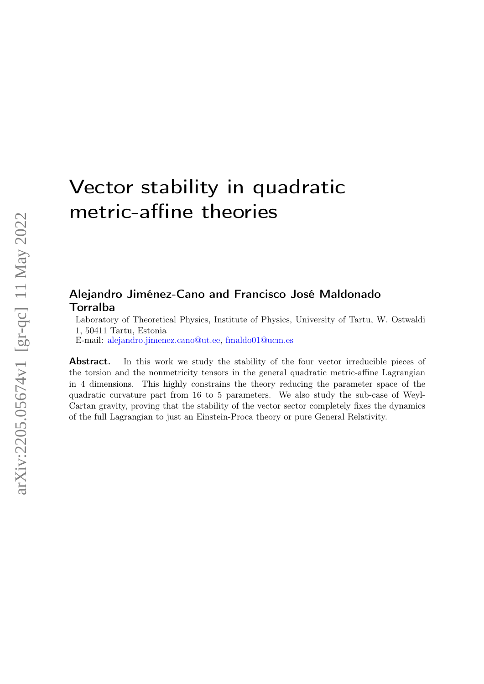# Vector stability in quadratic metric-affine theories

## Alejandro Jiménez-Cano and Francisco José Maldonado Torralba

Laboratory of Theoretical Physics, Institute of Physics, University of Tartu, W. Ostwaldi 1, 50411 Tartu, Estonia

E-mail: [alejandro.jimenez.cano@ut.ee,](mailto:alejandro.jimenez.cano@ut.ee) [fmaldo01@ucm.es](mailto:fmaldo01@ucm.es)

Abstract. In this work we study the stability of the four vector irreducible pieces of the torsion and the nonmetricity tensors in the general quadratic metric-affine Lagrangian in 4 dimensions. This highly constrains the theory reducing the parameter space of the quadratic curvature part from 16 to 5 parameters. We also study the sub-case of Weyl-Cartan gravity, proving that the stability of the vector sector completely fixes the dynamics of the full Lagrangian to just an Einstein-Proca theory or pure General Relativity.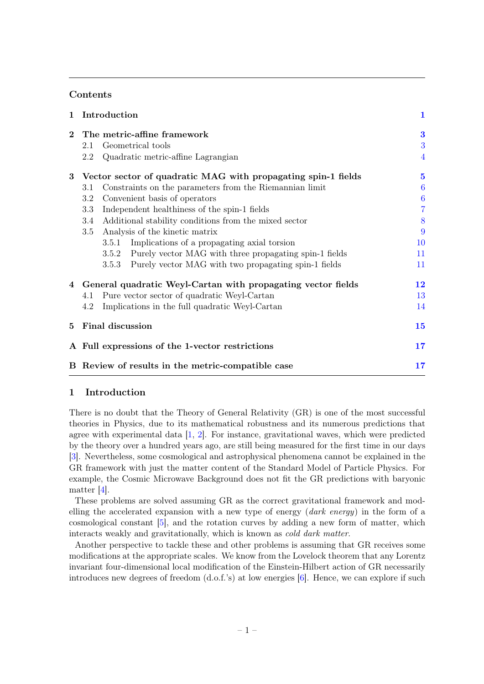## Contents

| 1        | Introduction                                                   | $\mathbf{1}$     |
|----------|----------------------------------------------------------------|------------------|
| $\bf{2}$ | The metric-affine framework                                    | $\bf{3}$         |
|          | Geometrical tools<br>2.1                                       | 3                |
|          | Quadratic metric-affine Lagrangian<br>$2.2^{\circ}$            | $\overline{4}$   |
| 3        | Vector sector of quadratic MAG with propagating spin-1 fields  | $\bf{5}$         |
|          | Constraints on the parameters from the Riemannian limit<br>3.1 | $\boldsymbol{6}$ |
|          | Convenient basis of operators<br>3.2                           | $\boldsymbol{6}$ |
|          | Independent healthiness of the spin-1 fields<br>3.3            | $\overline{7}$   |
|          | Additional stability conditions from the mixed sector<br>3.4   | 8                |
|          | Analysis of the kinetic matrix<br>3.5                          | 9                |
|          | Implications of a propagating axial torsion<br>3.5.1           | 10               |
|          | 3.5.2 Purely vector MAG with three propagating spin-1 fields   | 11               |
|          | Purely vector MAG with two propagating spin-1 fields<br>3.5.3  | 11               |
|          | 4 General quadratic Weyl-Cartan with propagating vector fields | 12               |
|          | Pure vector sector of quadratic Weyl-Cartan<br>4.1             | 13               |
|          | Implications in the full quadratic Weyl-Cartan<br>4.2          | 14               |
| 5        | <b>Final discussion</b>                                        | 15               |
|          | A Full expressions of the 1-vector restrictions                | 17               |
|          | B Review of results in the metric-compatible case              | 17               |

## <span id="page-1-0"></span>1 Introduction

There is no doubt that the Theory of General Relativity (GR) is one of the most successful theories in Physics, due to its mathematical robustness and its numerous predictions that agree with experimental data [\[1,](#page-19-0) [2\]](#page-19-1). For instance, gravitational waves, which were predicted by the theory over a hundred years ago, are still being measured for the first time in our days [\[3\]](#page-19-2). Nevertheless, some cosmological and astrophysical phenomena cannot be explained in the GR framework with just the matter content of the Standard Model of Particle Physics. For example, the Cosmic Microwave Background does not fit the GR predictions with baryonic matter [\[4\]](#page-19-3).

These problems are solved assuming GR as the correct gravitational framework and modelling the accelerated expansion with a new type of energy (dark energy) in the form of a cosmological constant [\[5\]](#page-19-4), and the rotation curves by adding a new form of matter, which interacts weakly and gravitationally, which is known as cold dark matter.

Another perspective to tackle these and other problems is assuming that GR receives some modifications at the appropriate scales. We know from the Lovelock theorem that any Lorentz invariant four-dimensional local modification of the Einstein-Hilbert action of GR necessarily introduces new degrees of freedom (d.o.f.'s) at low energies [\[6\]](#page-19-5). Hence, we can explore if such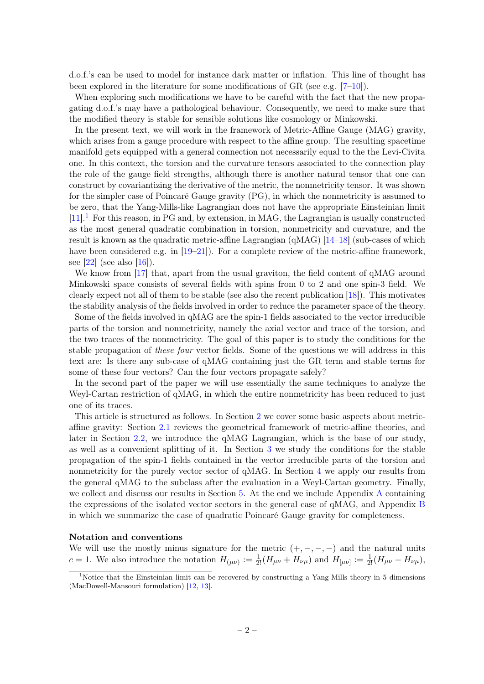d.o.f.'s can be used to model for instance dark matter or inflation. This line of thought has been explored in the literature for some modifications of GR (see e.g. [\[7–](#page-19-6)[10\]](#page-19-7)).

When exploring such modifications we have to be careful with the fact that the new propagating d.o.f.'s may have a pathological behaviour. Consequently, we need to make sure that the modified theory is stable for sensible solutions like cosmology or Minkowski.

In the present text, we will work in the framework of Metric-Affine Gauge (MAG) gravity, which arises from a gauge procedure with respect to the affine group. The resulting spacetime manifold gets equipped with a general connection not necessarily equal to the the Levi-Civita one. In this context, the torsion and the curvature tensors associated to the connection play the role of the gauge field strengths, although there is another natural tensor that one can construct by covariantizing the derivative of the metric, the nonmetricity tensor. It was shown for the simpler case of Poincaré Gauge gravity (PG), in which the nonmetricity is assumed to be zero, that the Yang-Mills-like Lagrangian does not have the appropriate Einsteinian limit  $[11]$ .<sup>[1](#page-2-0)</sup> For this reason, in PG and, by extension, in MAG, the Lagrangian is usually constructed as the most general quadratic combination in torsion, nonmetricity and curvature, and the result is known as the quadratic metric-affine Lagrangian (qMAG) [\[14–](#page-19-9)[18\]](#page-19-10) (sub-cases of which have been considered e.g. in [\[19–](#page-19-11)[21\]](#page-20-0)). For a complete review of the metric-affine framework, see  $[22]$  (see also  $[16]$ ).

We know from [\[17\]](#page-19-13) that, apart from the usual graviton, the field content of  $\alpha$ MAG around Minkowski space consists of several fields with spins from 0 to 2 and one spin-3 field. We clearly expect not all of them to be stable (see also the recent publication [\[18\]](#page-19-10)). This motivates the stability analysis of the fields involved in order to reduce the parameter space of the theory.

Some of the fields involved in qMAG are the spin-1 fields associated to the vector irreducible parts of the torsion and nonmetricity, namely the axial vector and trace of the torsion, and the two traces of the nonmetricity. The goal of this paper is to study the conditions for the stable propagation of these four vector fields. Some of the questions we will address in this text are: Is there any sub-case of qMAG containing just the GR term and stable terms for some of these four vectors? Can the four vectors propagate safely?

In the second part of the paper we will use essentially the same techniques to analyze the Weyl-Cartan restriction of qMAG, in which the entire nonmetricity has been reduced to just one of its traces.

This article is structured as follows. In Section [2](#page-3-0) we cover some basic aspects about metricaffine gravity: Section [2.1](#page-3-1) reviews the geometrical framework of metric-affine theories, and later in Section [2.2,](#page-4-0) we introduce the qMAG Lagrangian, which is the base of our study, as well as a convenient splitting of it. In Section [3](#page-5-0) we study the conditions for the stable propagation of the spin-1 fields contained in the vector irreducible parts of the torsion and nonmetricity for the purely vector sector of qMAG. In Section [4](#page-12-0) we apply our results from the general qMAG to the subclass after the evaluation in a Weyl-Cartan geometry. Finally, we collect and discuss our results in Section [5.](#page-15-0) At the end we include Appendix [A](#page-17-0) containing the expressions of the isolated vector sectors in the general case of qMAG, and Appendix [B](#page-17-1) in which we summarize the case of quadratic Poincaré Gauge gravity for completeness.

#### Notation and conventions

We will use the mostly minus signature for the metric  $(+, -, -, -)$  and the natural units c = 1. We also introduce the notation  $H_{(\mu\nu)} := \frac{1}{2!} (H_{\mu\nu} + H_{\nu\mu})$  and  $H_{[\mu\nu]} := \frac{1}{2!} (H_{\mu\nu} - H_{\nu\mu})$ ,

<span id="page-2-0"></span><sup>&</sup>lt;sup>1</sup>Notice that the Einsteinian limit can be recovered by constructing a Yang-Mills theory in 5 dimensions (MacDowell-Mansouri formulation) [\[12,](#page-19-14) [13\]](#page-19-15).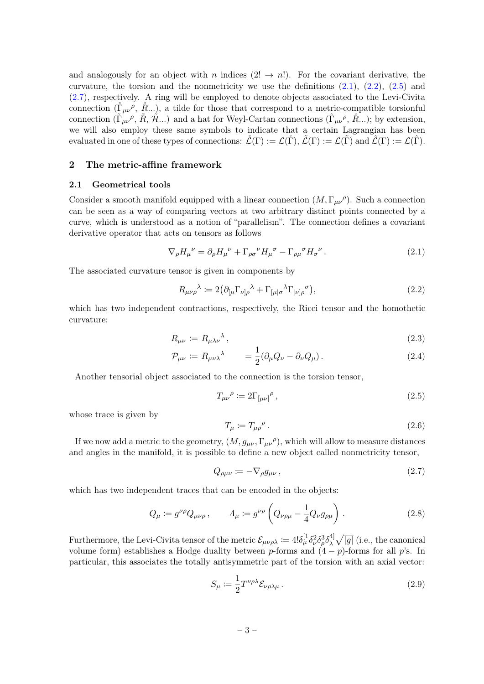and analogously for an object with n indices  $(2! \rightarrow n!)$ . For the covariant derivative, the curvature, the torsion and the nonmetricity we use the definitions  $(2.1)$ ,  $(2.2)$ ,  $(2.5)$  and [\(2.7\)](#page-3-5), respectively. A ring will be employed to denote objects associated to the Levi-Civita connection  $(\mathring{\Gamma}_{\mu\nu}, \mathring{R} ...)$ , a tilde for those that correspond to a metric-compatible torsionful connection  $(\tilde{\Gamma}_{\mu\nu}^{\ \rho}, \tilde{R}, \tilde{\mathcal{H}}...)$  and a hat for Weyl-Cartan connections  $(\tilde{\Gamma}_{\mu\nu}^{\ \rho}, \hat{R}...)$ ; by extension, we will also employ these same symbols to indicate that a certain Lagrangian has been evaluated in one of these types of connections:  $\mathcal{L}(\Gamma) := \mathcal{L}(\tilde{\Gamma}), \tilde{\mathcal{L}}(\Gamma) := \mathcal{L}(\tilde{\Gamma})$  and  $\mathcal{L}(\Gamma) := \mathcal{L}(\tilde{\Gamma}).$ 

## <span id="page-3-0"></span>2 The metric-affine framework

#### <span id="page-3-1"></span>2.1 Geometrical tools

Consider a smooth manifold equipped with a linear connection  $(M, \Gamma_{\mu\nu})$ . Such a connection can be seen as a way of comparing vectors at two arbitrary distinct points connected by a curve, which is understood as a notion of "parallelism". The connection defines a covariant derivative operator that acts on tensors as follows

<span id="page-3-2"></span>
$$
\nabla_{\rho} H_{\mu}{}^{\nu} = \partial_{\rho} H_{\mu}{}^{\nu} + \Gamma_{\rho\sigma}{}^{\nu} H_{\mu}{}^{\sigma} - \Gamma_{\rho\mu}{}^{\sigma} H_{\sigma}{}^{\nu} . \tag{2.1}
$$

The associated curvature tensor is given in components by

<span id="page-3-3"></span>
$$
R_{\mu\nu\rho}{}^{\lambda} := 2 \big( \partial_{[\mu} \Gamma_{\nu]\rho}{}^{\lambda} + \Gamma_{[\mu]\sigma}{}^{\lambda} \Gamma_{|\nu]\rho}{}^{\sigma} \big), \tag{2.2}
$$

which has two independent contractions, respectively, the Ricci tensor and the homothetic curvature:

<span id="page-3-6"></span>
$$
R_{\mu\nu} \coloneqq R_{\mu\lambda\nu}{}^{\lambda},\tag{2.3}
$$

$$
\mathcal{P}_{\mu\nu} \coloneqq R_{\mu\nu\lambda}{}^{\lambda} \qquad = \frac{1}{2} (\partial_{\mu} Q_{\nu} - \partial_{\nu} Q_{\mu}). \tag{2.4}
$$

Another tensorial object associated to the connection is the torsion tensor,

<span id="page-3-4"></span>
$$
T_{\mu\nu}{}^{\rho} \coloneqq 2\Gamma_{[\mu\nu]}{}^{\rho},\tag{2.5}
$$

whose trace is given by

$$
T_{\mu} := T_{\mu\rho}{}^{\rho} \,. \tag{2.6}
$$

If we now add a metric to the geometry,  $(M, g_{\mu\nu}, \Gamma_{\mu\nu}{}^{\rho})$ , which will allow to measure distances and angles in the manifold, it is possible to define a new object called nonmetricity tensor,

<span id="page-3-5"></span>
$$
Q_{\rho\mu\nu} := -\nabla_{\rho} g_{\mu\nu} \,, \tag{2.7}
$$

which has two independent traces that can be encoded in the objects:

$$
Q_{\mu} := g^{\nu \rho} Q_{\mu \nu \rho} , \qquad A_{\mu} := g^{\nu \rho} \left( Q_{\nu \rho \mu} - \frac{1}{4} Q_{\nu} g_{\rho \mu} \right) . \tag{2.8}
$$

Furthermore, the Levi-Civita tensor of the metric  $\mathcal{E}_{\mu\nu\rho\lambda} \coloneqq 4! \delta_{\mu}^{[1} \delta_{\nu}^2 \delta_{\rho}^3 \delta_{\lambda}^{4]}$  $\sqrt[4]{3}\sqrt{|g|}$  (i.e., the canonical volume form) establishes a Hodge duality between p-forms and  $(4-p)$ -forms for all p's. In particular, this associates the totally antisymmetric part of the torsion with an axial vector:

$$
S_{\mu} := \frac{1}{2} T^{\nu \rho \lambda} \mathcal{E}_{\nu \rho \lambda \mu} \,. \tag{2.9}
$$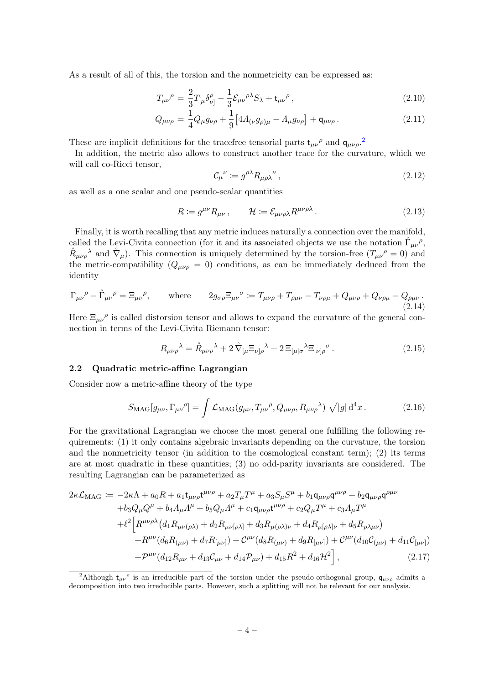As a result of all of this, the torsion and the nonmetricity can be expressed as:

$$
T_{\mu\nu}^{\ \rho} = \frac{2}{3}T_{\left[\mu\right.}\delta^{\rho}_{\nu\left.\right]} - \frac{1}{3}\mathcal{E}_{\mu\nu}^{\ \rho\lambda}S_{\lambda} + \mathfrak{t}_{\mu\nu}^{\ \rho}\,,\tag{2.10}
$$

$$
Q_{\mu\nu\rho} = \frac{1}{4} Q_{\mu} g_{\nu\rho} + \frac{1}{9} \left[ 4A_{(\nu} g_{\rho)\mu} - A_{\mu} g_{\nu\rho} \right] + \mathsf{q}_{\mu\nu\rho} \,. \tag{2.11}
$$

These are implicit definitions for the tracefree tensorial parts  $t_{\mu\nu}{}^{\rho}$  and  $q_{\mu\nu\rho}$ .

In addition, the metric also allows to construct another trace for the curvature, which we will call co-Ricci tensor,

$$
\mathcal{C}_{\mu}{}^{\nu} \coloneqq g^{\rho \lambda} R_{\mu \rho \lambda}{}^{\nu} \,, \tag{2.12}
$$

as well as a one scalar and one pseudo-scalar quantities

$$
R \coloneqq g^{\mu\nu} R_{\mu\nu}, \qquad \mathcal{H} \coloneqq \mathcal{E}_{\mu\nu\rho\lambda} R^{\mu\nu\rho\lambda} \,. \tag{2.13}
$$

Finally, it is worth recalling that any metric induces naturally a connection over the manifold, called the Levi-Civita connection (for it and its associated objects we use the notation  $\mathring{\Gamma}_{\mu\nu}{}^{\rho}$ ,  $R_{\mu\nu\rho}^{\lambda}$  and  $\mathring{\nabla}_{\mu}$ . This connection is uniquely determined by the torsion-free  $(T_{\mu\nu}^{\rho} = 0)$  and the metric-compatibility  $(Q_{\mu\nu\rho} = 0)$  conditions, as can be immediately deduced from the identity

$$
\Gamma_{\mu\nu}{}^{\rho} - \mathring{\Gamma}_{\mu\nu}{}^{\rho} = \Xi_{\mu\nu}{}^{\rho}, \qquad \text{where} \qquad 2g_{\sigma\rho}\Xi_{\mu\nu}{}^{\sigma} := T_{\mu\nu\rho} + T_{\rho\mu\nu} - T_{\nu\rho\mu} + Q_{\mu\nu\rho} + Q_{\nu\rho\mu} - Q_{\rho\mu\nu}.
$$
\n(2.14)

Here  $\Xi_{\mu\nu}^{\rho}$  is called distorsion tensor and allows to expand the curvature of the general connection in terms of the Levi-Civita Riemann tensor:

<span id="page-4-2"></span>
$$
R_{\mu\nu\rho}{}^{\lambda} = \mathring{R}_{\mu\nu\rho}{}^{\lambda} + 2\mathring{\nabla}_{[\mu} \Xi_{\nu]\rho}{}^{\lambda} + 2\Xi_{[\mu]\sigma}{}^{\lambda} \Xi_{|\nu]\rho}{}^{\sigma}.
$$
 (2.15)

#### <span id="page-4-0"></span>2.2 Quadratic metric-affine Lagrangian

Consider now a metric-affine theory of the type

$$
S_{\rm MAG}[g_{\mu\nu}, \Gamma_{\mu\nu}{}^{\rho}] = \int \mathcal{L}_{\rm MAG}(g_{\mu\nu}, T_{\mu\nu}{}^{\rho}, Q_{\mu\nu\rho}, R_{\mu\nu\rho}{}^{\lambda}) \sqrt{|g|} d^4 x. \tag{2.16}
$$

For the gravitational Lagrangian we choose the most general one fulfilling the following requirements: (1) it only contains algebraic invariants depending on the curvature, the torsion and the nonmetricity tensor (in addition to the cosmological constant term); (2) its terms are at most quadratic in these quantities; (3) no odd-parity invariants are considered. The resulting Lagrangian can be parameterized as

<span id="page-4-3"></span>
$$
2\kappa \mathcal{L}_{\text{MAG}} := -2\kappa \Lambda + a_0 R + a_1 t_{\mu\nu\rho} t^{\mu\nu\rho} + a_2 T_{\mu} T^{\mu} + a_3 S_{\mu} S^{\mu} + b_1 \mathsf{q}_{\mu\nu\rho} \mathsf{q}^{\mu\nu\rho} + b_2 \mathsf{q}_{\mu\nu\rho} \mathsf{q}^{\rho\mu\nu} + b_3 Q_{\mu} Q^{\mu} + b_4 \Lambda_{\mu} \Lambda^{\mu} + b_5 Q_{\mu} \Lambda^{\mu} + c_1 \mathsf{q}_{\mu\nu\rho} t^{\mu\nu\rho} + c_2 Q_{\mu} T^{\mu} + c_3 \Lambda_{\mu} T^{\mu} + \ell^2 \Big[ R^{\mu\nu\rho\lambda} \big( d_1 R_{\mu\nu(\rho\lambda)} + d_2 R_{\mu\nu[\rho\lambda]} + d_3 R_{\mu(\rho\lambda)\nu} + d_4 R_{\mu[\rho\lambda]\nu} + d_5 R_{\rho\lambda\mu\nu} \big) + R^{\mu\nu} (d_6 R_{(\mu\nu)} + d_7 R_{[\mu\nu]}) + C^{\mu\nu} (d_8 R_{(\mu\nu)} + d_9 R_{[\mu\nu]}) + C^{\mu\nu} (d_{10} C_{(\mu\nu)} + d_{11} C_{[\mu\nu]}) + \mathcal{P}^{\mu\nu} (d_{12} R_{\mu\nu} + d_{13} C_{\mu\nu} + d_{14} \mathcal{P}_{\mu\nu}) + d_{15} R^2 + d_{16} \mathcal{H}^2 \Big], \tag{2.17}
$$

<span id="page-4-1"></span><sup>&</sup>lt;sup>2</sup>Although  $t_{\mu\nu}$ <sup> $\rho$ </sup> is an irreducible part of the torsion under the pseudo-orthogonal group,  $q_{\mu\nu\rho}$  admits a decomposition into two irreducible parts. However, such a splitting will not be relevant for our analysis.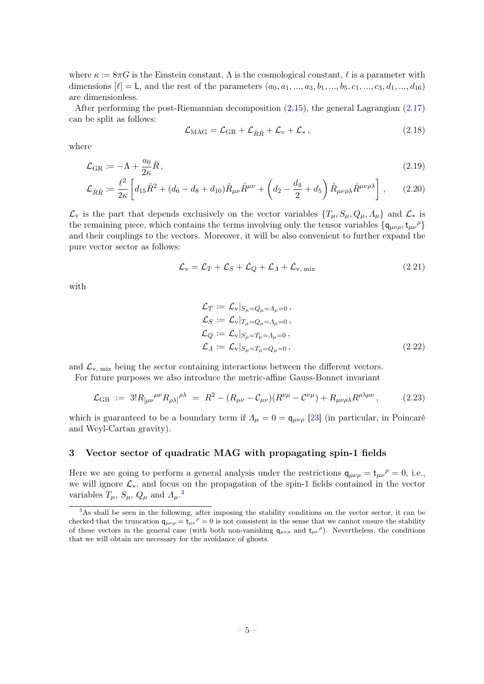where  $\kappa \coloneqq 8\pi G$  is the Einstein constant,  $\Lambda$  is the cosmological constant,  $\ell$  is a parameter with dimensions  $[\ell] = L$ , and the rest of the parameters  $(a_0, a_1, ..., a_3, b_1, ..., b_5, c_1, ..., c_3, d_1, ..., d_{16})$ are dimensionless.

After performing the post-Riemannian decomposition [\(2.15\)](#page-4-2), the general Lagrangian [\(2.17\)](#page-4-3) can be split as follows:

<span id="page-5-2"></span>
$$
\mathcal{L}_{\text{MAG}} = \mathcal{L}_{\text{GR}} + \mathcal{L}_{\dot{R}\dot{R}} + \mathcal{L}_{\text{v}} + \mathcal{L}_{\ast} \,, \tag{2.18}
$$

where

$$
\mathcal{L}_{GR} \coloneqq -\Lambda + \frac{a_0}{2\kappa} \mathring{R},\tag{2.19}
$$

$$
\mathcal{L}_{\mathring{R}\mathring{R}} := \frac{\ell^2}{2\kappa} \left[ d_{15} \mathring{R}^2 + (d_6 - d_8 + d_{10}) \mathring{R}_{\mu\nu} \mathring{R}^{\mu\nu} + \left( d_2 - \frac{d_4}{2} + d_5 \right) \mathring{R}_{\mu\nu\rho\lambda} \mathring{R}^{\mu\nu\rho\lambda} \right],
$$
 (2.20)

 $\mathcal{L}_{\mathbf{v}}$  is the part that depends exclusively on the vector variables  $\{T_{\mu}, S_{\mu}, Q_{\mu}, \Lambda_{\mu}\}\$ and  $\mathcal{L}_{*}$  is the remaining piece, which contains the terms involving only the tensor variables  $\{q_{\mu\nu\rho}, t_{\mu\nu}{}^{\rho}\}\$ and their couplings to the vectors. Moreover, it will be also convenient to further expand the pure vector sector as follows:

$$
\mathcal{L}_{\mathbf{v}} = \mathcal{L}_{T} + \mathcal{L}_{S} + \mathcal{L}_{Q} + \mathcal{L}_{A} + \mathcal{L}_{\mathbf{v}, \text{mix}} \tag{2.21}
$$

with

<span id="page-5-3"></span>
$$
\mathcal{L}_T := \mathcal{L}_v |_{S_\mu = Q_\mu = \Lambda_\mu = 0},
$$
\n
$$
\mathcal{L}_S := \mathcal{L}_v |_{T_\mu = Q_\mu = \Lambda_\mu = 0},
$$
\n
$$
\mathcal{L}_Q := \mathcal{L}_v |_{S_\mu = T_\mu = \Lambda_\mu = 0},
$$
\n
$$
\mathcal{L}_\Lambda := \mathcal{L}_v |_{S_\mu = T_\mu = Q_\mu = 0},
$$
\n(2.22)

and  $\mathcal{L}_{v, mix}$  being the sector containing interactions between the different vectors.

For future purposes we also introduce the metric-affine Gauss-Bonnet invariant

$$
\mathcal{L}_{GB} := 3! R_{\mu\nu}^{\mu\nu} R_{\rho\lambda}^{\rho\lambda} = R^2 - (R_{\mu\nu} - C_{\mu\nu}) (R^{\nu\mu} - C^{\nu\mu}) + R_{\mu\nu\rho\lambda} R^{\rho\lambda\mu\nu}, \tag{2.23}
$$

which is guaranteed to be a boundary term if  $\Lambda_{\mu} = 0 = \mathbf{q}_{\mu\nu\rho}$  [\[23\]](#page-20-2) (in particular, in Poincaré and Weyl-Cartan gravity).

#### <span id="page-5-0"></span>3 Vector sector of quadratic MAG with propagating spin-1 fields

Here we are going to perform a general analysis under the restrictions  $q_{\mu\nu\rho} = t_{\mu\nu}{}^{\rho} = 0$ , i.e., we will ignore L∗, and focus on the propagation of the spin-1 fields contained in the vector variables  $T_{\mu}$ ,  $S_{\mu}$ ,  $Q_{\mu}$  and  $\Lambda_{\mu}$ .<sup>[3](#page-5-1)</sup>

<span id="page-5-1"></span><sup>&</sup>lt;sup>3</sup>As shall be seen in the following, after imposing the stability conditions on the vector sector, it can be checked that the truncation  $q_{\mu\nu\rho} = t_{\mu\nu}{}^{\rho} = 0$  is not consistent in the sense that we cannot ensure the stability of these vectors in the general case (with both non-vanishing  $q_{\mu\nu\rho}$  and  $t_{\mu\nu}^{\rho}$ ). Nevertheless, the conditions that we will obtain are necessary for the avoidance of ghosts.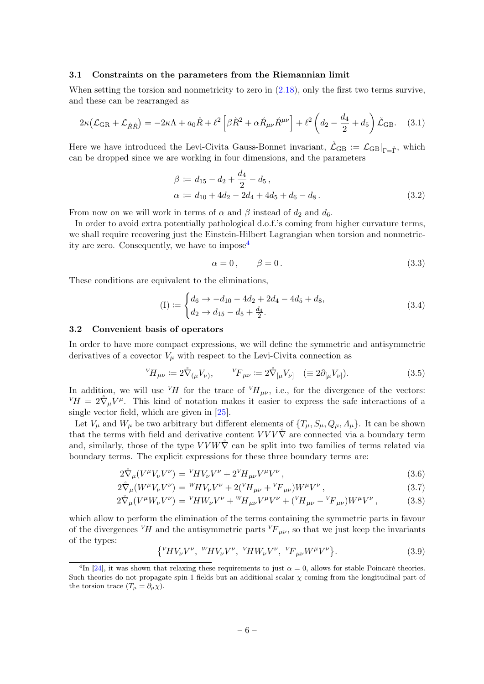#### <span id="page-6-0"></span>3.1 Constraints on the parameters from the Riemannian limit

When setting the torsion and nonmetricity to zero in  $(2.18)$ , only the first two terms survive, and these can be rearranged as

$$
2\kappa \left(\mathcal{L}_{GR} + \mathcal{L}_{\mathring{R}\mathring{R}}\right) = -2\kappa \Lambda + a_0 \mathring{R} + \ell^2 \left[\beta \mathring{R}^2 + \alpha \mathring{R}_{\mu\nu} \mathring{R}^{\mu\nu}\right] + \ell^2 \left(d_2 - \frac{d_4}{2} + d_5\right) \mathring{\mathcal{L}}_{GB}.
$$
 (3.1)

Here we have introduced the Levi-Civita Gauss-Bonnet invariant,  $\mathring{\mathcal{L}}_{GB} := \mathcal{L}_{GB}|_{\Gamma=\hat{\Gamma}}$ , which can be dropped since we are working in four dimensions, and the parameters

$$
\beta := d_{15} - d_2 + \frac{d_4}{2} - d_5, \n\alpha := d_{10} + 4d_2 - 2d_4 + 4d_5 + d_6 - d_8.
$$
\n(3.2)

From now on we will work in terms of  $\alpha$  and  $\beta$  instead of  $d_2$  and  $d_6$ .

In order to avoid extra potentially pathological d.o.f.'s coming from higher curvature terms, we shall require recovering just the Einstein-Hilbert Lagrangian when torsion and nonmetricity are zero. Consequently, we have to impose[4](#page-6-2)

$$
\alpha = 0, \qquad \beta = 0. \tag{3.3}
$$

These conditions are equivalent to the eliminations.

<span id="page-6-3"></span>
$$
(I) := \begin{cases} d_6 \to -d_{10} - 4d_2 + 2d_4 - 4d_5 + d_8, \\ d_2 \to d_{15} - d_5 + \frac{d_4}{2}. \end{cases} \tag{3.4}
$$

#### <span id="page-6-1"></span>3.2 Convenient basis of operators

In order to have more compact expressions, we will define the symmetric and antisymmetric derivatives of a covector  $V_{\mu}$  with respect to the Levi-Civita connection as

$$
{}^{V}H_{\mu\nu} := 2\mathring{\nabla}_{(\mu}V_{\nu)}, \qquad {}^{V}F_{\mu\nu} := 2\mathring{\nabla}_{[\mu}V_{\nu]} \quad (\equiv 2\partial_{[\mu}V_{\nu]}). \tag{3.5}
$$

In addition, we will use  $V_H$  for the trace of  $V_{H\mu\nu}$ , i.e., for the divergence of the vectors:  ${}^V H = 2 \overset{\circ}{\nabla}_\mu V^\mu$ . This kind of notation makes it easier to express the safe interactions of a single vector field, which are given in [\[25\]](#page-20-3).

Let  $V_\mu$  and  $W_\mu$  be two arbitrary but different elements of  $\{T_\mu, S_\mu, Q_\mu, \Lambda_\mu\}$ . It can be shown that the terms with field and derivative content  $VVV\tilde{\nabla}$  are connected via a boundary term and, similarly, those of the type  $VVW\tilde{\nabla}$  can be split into two families of terms related via boundary terms. The explicit expressions for these three boundary terms are:

$$
2\mathring{\nabla}_{\mu}(V^{\mu}V_{\nu}V^{\nu}) = {}^{V}H V_{\nu}V^{\nu} + 2{}^{V}H_{\mu\nu}V^{\mu}V^{\nu}, \qquad (3.6)
$$

$$
2\mathring{\nabla}_{\mu}(W^{\mu}V_{\nu}V^{\nu}) = {}^{W}H V_{\nu}V^{\nu} + 2({}^{V}H_{\mu\nu} + {}^{V}F_{\mu\nu})W^{\mu}V^{\nu}, \qquad (3.7)
$$

$$
2\mathring{\nabla}_{\mu}(V^{\mu}W_{\nu}V^{\nu}) = {}^{V}\!HW_{\nu}V^{\nu} + {}^{W}\!H_{\mu\nu}V^{\mu}V^{\nu} + ({}^{V}\!H_{\mu\nu} - {}^{V}\!F_{\mu\nu})W^{\mu}V^{\nu}, \qquad (3.8)
$$

which allow to perform the elimination of the terms containing the symmetric parts in favour of the divergences <sup>V</sup>H and the antisymmetric parts <sup>V</sup>F<sub> $\mu\nu$ </sub>, so that we just keep the invariants of the types:

$$
\{ {}^{V}\!H V_{\nu} V^{\nu}, {}^{W}\!H V_{\nu} V^{\nu}, {}^{V}\!H W_{\nu} V^{\nu}, {}^{V}\!F_{\mu\nu} W^{\mu} V^{\nu} \}.
$$
 (3.9)

<span id="page-6-2"></span><sup>&</sup>lt;sup>4</sup>In [\[24\]](#page-20-4), it was shown that relaxing these requirements to just  $\alpha = 0$ , allows for stable Poincaré theories. Such theories do not propagate spin-1 fields but an additional scalar  $\chi$  coming from the longitudinal part of the torsion trace  $(T_{\mu} = \partial_{\mu} \chi)$ .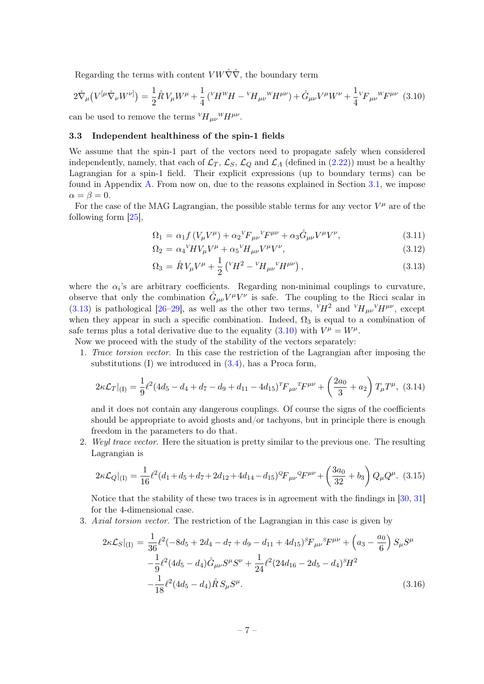Regarding the terms with content  $V W \check{\nabla} \check{\nabla}$ , the boundary term

<span id="page-7-2"></span>
$$
2\overset{\circ}{\nabla}_{\mu}\left(V^{[\mu}\overset{\circ}{\nabla}_{\nu}W^{\nu]}\right) = \frac{1}{2}\overset{\circ}{R}V_{\mu}W^{\mu} + \frac{1}{4}\left({}^{\nu}H^{W}H - {}^{\nu}H_{\mu\nu}{}^{W}H^{\mu\nu}\right) + \overset{\circ}{G}_{\mu\nu}V^{\mu}W^{\nu} + \frac{1}{4}{}^{\nu}F_{\mu\nu}{}^{W}F^{\mu\nu}
$$
(3.10)

can be used to remove the terms  $V H_{\mu\nu}{}^W H^{\mu\nu}$ .

#### <span id="page-7-0"></span>3.3 Independent healthiness of the spin-1 fields

We assume that the spin-1 part of the vectors need to propagate safely when considered independently, namely, that each of  $\mathcal{L}_T$ ,  $\mathcal{L}_S$ ,  $\mathcal{L}_Q$  and  $\mathcal{L}_\Lambda$  (defined in [\(2.22\)](#page-5-3)) must be a healthy Lagrangian for a spin-1 field. Their explicit expressions (up to boundary terms) can be found in Appendix [A.](#page-17-0) From now on, due to the reasons explained in Section [3.1,](#page-6-0) we impose  $\alpha = \beta = 0.$ 

For the case of the MAG Lagrangian, the possible stable terms for any vector  $V^{\mu}$  are of the following form [\[25\]](#page-20-3),

<span id="page-7-1"></span>
$$
\Omega_1 = \alpha_1 f \left( V_\mu V^\mu \right) + \alpha_2 V F_{\mu\nu} V^\mu + \alpha_3 \mathring{G}_{\mu\nu} V^\mu V^\nu, \tag{3.11}
$$

$$
\Omega_2 = \alpha_4 V H V_\mu V^\mu + \alpha_5 V H_{\mu\nu} V^\mu V^\nu,\tag{3.12}
$$

$$
\Omega_3 = \mathring{R} V_{\mu} V^{\mu} + \frac{1}{2} \left( {}^{V}H^2 - {}^{V}H_{\mu\nu} {}^{V}H^{\mu\nu} \right), \tag{3.13}
$$

where the  $\alpha_i$ 's are arbitrary coefficients. Regarding non-minimal couplings to curvature, observe that only the combination  $\mathring{G}_{\mu\nu}V^{\mu}V^{\nu}$  is safe. The coupling to the Ricci scalar in [\(3.13\)](#page-7-1) is pathological [\[26](#page-20-5)[–29\]](#page-20-6), as well as the other two terms,  $VH^2$  and  $VH_{\mu\nu}VH^{\mu\nu}$ , except when they appear in such a specific combination. Indeed,  $\Omega_3$  is equal to a combination of safe terms plus a total derivative due to the equality [\(3.10\)](#page-7-2) with  $V^{\mu} = W^{\mu}$ .

Now we proceed with the study of the stability of the vectors separately:

1. Trace torsion vector. In this case the restriction of the Lagrangian after imposing the substitutions  $(I)$  we introduced in  $(3.4)$ , has a Proca form,

<span id="page-7-4"></span>
$$
2\kappa \mathcal{L}_T|_{(1)} = \frac{1}{9} \ell^2 (4d_5 - d_4 + d_7 - d_9 + d_{11} - 4d_{15})^T F_{\mu\nu}{}^T F^{\mu\nu} + \left(\frac{2a_0}{3} + a_2\right) T_{\mu} T^{\mu}, \tag{3.14}
$$

and it does not contain any dangerous couplings. Of course the signs of the coefficients should be appropriate to avoid ghosts and/or tachyons, but in principle there is enough freedom in the parameters to do that.

2. Weyl trace vector. Here the situation is pretty similar to the previous one. The resulting Lagrangian is

<span id="page-7-5"></span>
$$
2\kappa \mathcal{L}_Q|_{(I)} = \frac{1}{16} \ell^2 (d_1 + d_5 + d_7 + 2d_{12} + 4d_{14} - d_{15})^Q F_{\mu\nu}{}^Q F^{\mu\nu} + \left(\frac{3a_0}{32} + b_3\right) Q_\mu Q^\mu. \tag{3.15}
$$

Notice that the stability of these two traces is in agreement with the findings in [\[30,](#page-20-7) [31\]](#page-20-8) for the 4-dimensional case.

3. Axial torsion vector. The restriction of the Lagrangian in this case is given by

<span id="page-7-3"></span>
$$
2\kappa \mathcal{L}_S|_{(I)} = \frac{1}{36} \ell^2 (-8d_5 + 2d_4 - d_7 + d_9 - d_{11} + 4d_{15})^S F_{\mu\nu}{}^S F^{\mu\nu} + \left( a_3 - \frac{a_0}{6} \right) S_\mu S^\mu -\frac{1}{9} \ell^2 (4d_5 - d_4) \mathring{G}_{\mu\nu} S^\mu S^\nu + \frac{1}{24} \ell^2 (24d_{16} - 2d_5 - d_4)^S H^2 -\frac{1}{18} \ell^2 (4d_5 - d_4) \mathring{R} S_\mu S^\mu.
$$
 (3.16)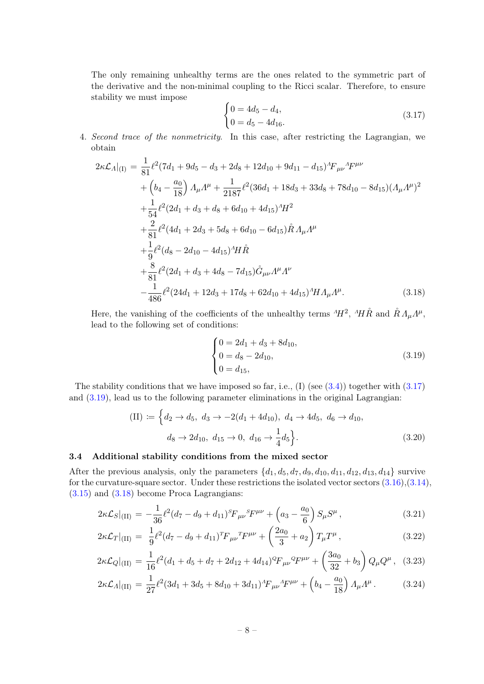The only remaining unhealthy terms are the ones related to the symmetric part of the derivative and the non-minimal coupling to the Ricci scalar. Therefore, to ensure stability we must impose

<span id="page-8-1"></span>
$$
\begin{cases} 0 = 4d_5 - d_4, \\ 0 = d_5 - 4d_{16}. \end{cases} \tag{3.17}
$$

4. Second trace of the nonmetricity. In this case, after restricting the Lagrangian, we obtain

<span id="page-8-3"></span>
$$
2\kappa \mathcal{L}_{A}|_{(I)} = \frac{1}{81} \ell^{2} (7d_{1} + 9d_{5} - d_{3} + 2d_{8} + 12d_{10} + 9d_{11} - d_{15})^{A} F_{\mu\nu}{}^{A} F^{\mu\nu}
$$
  
+  $\left(b_{4} - \frac{a_{0}}{18}\right) A_{\mu} A^{\mu} + \frac{1}{2187} \ell^{2} (36d_{1} + 18d_{3} + 33d_{8} + 78d_{10} - 8d_{15}) (A_{\mu} A^{\mu})^{2}$   
+  $\frac{1}{54} \ell^{2} (2d_{1} + d_{3} + d_{8} + 6d_{10} + 4d_{15})^{A} H^{2}$   
+  $\frac{2}{81} \ell^{2} (4d_{1} + 2d_{3} + 5d_{8} + 6d_{10} - 6d_{15}) \mathring{R} A_{\mu} A^{\mu}$   
+  $\frac{1}{9} \ell^{2} (d_{8} - 2d_{10} - 4d_{15})^{A} H \mathring{R}$   
+  $\frac{8}{81} \ell^{2} (2d_{1} + d_{3} + 4d_{8} - 7d_{15}) \mathring{G}_{\mu\nu} A^{\mu} A^{\nu}$   
-  $\frac{1}{486} \ell^{2} (24d_{1} + 12d_{3} + 17d_{8} + 62d_{10} + 4d_{15})^{A} H A_{\mu} A^{\mu}$ . (3.18)

Here, the vanishing of the coefficients of the unhealthy terms  $^{A}H^{2}$ ,  $^{A}H\overset{\circ}{R}$  and  $\overset{\circ}{R}$   $\Lambda_{\mu}\Lambda^{\mu}$ , lead to the following set of conditions:

<span id="page-8-2"></span>
$$
\begin{cases}\n0 = 2d_1 + d_3 + 8d_{10}, \n0 = d_8 - 2d_{10}, \n0 = d_{15},\n\end{cases}
$$
\n(3.19)

The stability conditions that we have imposed so far, i.e.,  $(I)$  (see  $(3.4)$ ) together with  $(3.17)$ and [\(3.19\)](#page-8-2), lead us to the following parameter eliminations in the original Lagrangian:

(II) := 
$$
\left\{ d_2 \to d_5, d_3 \to -2(d_1 + 4d_{10}), d_4 \to 4d_5, d_6 \to d_{10}, d_8 \to 2d_{10}, d_{15} \to 0, d_{16} \to \frac{1}{4}d_5 \right\}.
$$
 (3.20)

#### <span id="page-8-0"></span>3.4 Additional stability conditions from the mixed sector

After the previous analysis, only the parameters  $\{d_1, d_5, d_7, d_9, d_{10}, d_{11}, d_{12}, d_{13}, d_{14}\}$  survive for the curvature-square sector. Under these restrictions the isolated vector sectors  $(3.16), (3.14)$  $(3.16), (3.14)$  $(3.16), (3.14)$ , [\(3.15\)](#page-7-5) and [\(3.18\)](#page-8-3) become Proca Lagrangians:

$$
2\kappa \mathcal{L}_S|_{\text{(II)}} = -\frac{1}{36} \ell^2 (d_7 - d_9 + d_{11})^S F_{\mu\nu}{}^S F^{\mu\nu} + \left( a_3 - \frac{a_0}{6} \right) S_{\mu} S^{\mu} \,, \tag{3.21}
$$

$$
2\kappa \mathcal{L}_T|_{\text{(II)}} = \frac{1}{9} \ell^2 (d_7 - d_9 + d_{11})^T F_{\mu\nu}{}^T F^{\mu\nu} + \left(\frac{2a_0}{3} + a_2\right) T_{\mu} T^{\mu},\tag{3.22}
$$

$$
2\kappa \mathcal{L}_Q|_{\text{(II)}} = \frac{1}{16} \ell^2 (d_1 + d_5 + d_7 + 2d_{12} + 4d_{14})^Q F_{\mu\nu}{}^Q F^{\mu\nu} + \left(\frac{3a_0}{32} + b_3\right) Q_\mu Q^\mu, \tag{3.23}
$$

$$
2\kappa \mathcal{L}_A|_{\text{(II)}} = \frac{1}{27} \ell^2 (3d_1 + 3d_5 + 8d_{10} + 3d_{11})^A F_{\mu\nu}{}^A F^{\mu\nu} + \left(b_4 - \frac{a_0}{18}\right) A_\mu A^\mu. \tag{3.24}
$$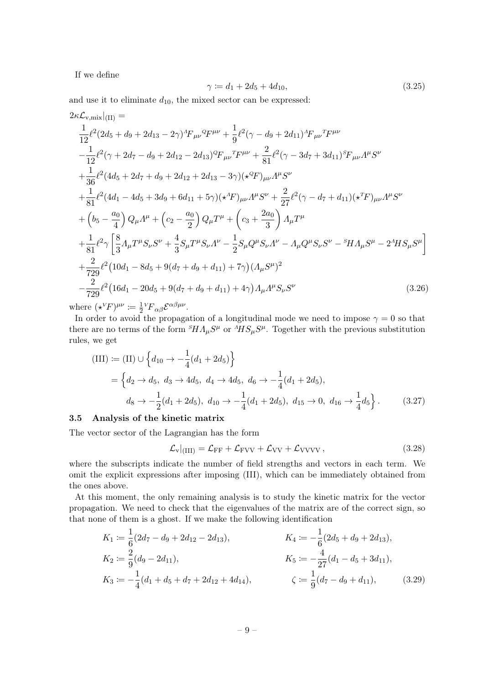If we define

$$
\gamma := d_1 + 2d_5 + 4d_{10},\tag{3.25}
$$

and use it to eliminate  $d_{10}$ , the mixed sector can be expressed:

$$
2\kappa \mathcal{L}_{v,\text{mix}}|_{(II)} =
$$
  
\n
$$
\frac{1}{12} \ell^2 (2d_5 + d_9 + 2d_{13} - 2\gamma)^A F_{\mu\nu}{}^Q F^{\mu\nu} + \frac{1}{9} \ell^2 (\gamma - d_9 + 2d_{11})^A F_{\mu\nu}{}^T F^{\mu\nu}
$$
  
\n
$$
-\frac{1}{12} \ell^2 (\gamma + 2d_7 - d_9 + 2d_{12} - 2d_{13})^Q F_{\mu\nu}{}^T F^{\mu\nu} + \frac{2}{81} \ell^2 (\gamma - 3d_7 + 3d_{11})^S F_{\mu\nu} A^{\mu} S^{\nu}
$$
  
\n
$$
+\frac{1}{36} \ell^2 (4d_5 + 2d_7 + d_9 + 2d_{12} + 2d_{13} - 3\gamma) (\star^Q F)_{\mu\nu} A^{\mu} S^{\nu}
$$
  
\n
$$
+\frac{1}{81} \ell^2 (4d_1 - 4d_5 + 3d_9 + 6d_{11} + 5\gamma) (\star^A F)_{\mu\nu} A^{\mu} S^{\nu} + \frac{2}{27} \ell^2 (\gamma - d_7 + d_{11}) (\star^T F)_{\mu\nu} A^{\mu} S^{\nu}
$$
  
\n
$$
+\left(b_5 - \frac{a_0}{4}\right) Q_{\mu} A^{\mu} + \left(c_2 - \frac{a_0}{2}\right) Q_{\mu} T^{\mu} + \left(c_3 + \frac{2a_0}{3}\right) A_{\mu} T^{\mu}
$$
  
\n
$$
+\frac{1}{81} \ell^2 \gamma \left[\frac{8}{3} A_{\mu} T^{\mu} S_{\nu} S^{\nu} + \frac{4}{3} S_{\mu} T^{\mu} S_{\nu} A^{\nu} - \frac{1}{2} S_{\mu} Q^{\mu} S_{\nu} A^{\nu} - A_{\mu} Q^{\mu} S_{\nu} S^{\nu} - {}^S H A_{\mu} S^{\mu} - 2^A H S_{\mu} S^{\mu}\right]
$$
  
\n
$$
+\frac{2}{729} \ell^2 (10d_1 - 8d_5 + 9(d_7 + d_9
$$

where  $(\star^V F)^{\mu\nu} \coloneqq \frac{1}{2}$  $\frac{1}{2}{}^V\!F{}_{\alpha\beta} \mathcal{E}^{\alpha\beta\mu\nu}.$ 

In order to avoid the propagation of a longitudinal mode we need to impose  $\gamma = 0$  so that there are no terms of the form  $^{S}\!H\Lambda_\mu S^\mu$  or  $^{A}\!H S_\mu S^\mu$ . Together with the previous substitution rules, we get

(III) := (II) 
$$
\cup \left\{ d_{10} \rightarrow -\frac{1}{4} (d_1 + 2d_5) \right\}
$$
  
\n=  $\left\{ d_2 \rightarrow d_5, d_3 \rightarrow 4d_5, d_4 \rightarrow 4d_5, d_6 \rightarrow -\frac{1}{4} (d_1 + 2d_5),$   
\n $d_8 \rightarrow -\frac{1}{2} (d_1 + 2d_5), d_{10} \rightarrow -\frac{1}{4} (d_1 + 2d_5), d_{15} \rightarrow 0, d_{16} \rightarrow \frac{1}{4} d_5 \right\}.$  (3.27)

#### <span id="page-9-0"></span>3.5 Analysis of the kinetic matrix

The vector sector of the Lagrangian has the form

<span id="page-9-1"></span>
$$
\mathcal{L}_{\rm v}|_{\rm (III)} = \mathcal{L}_{\rm FF} + \mathcal{L}_{\rm FVV} + \mathcal{L}_{\rm VV} + \mathcal{L}_{\rm VVVV} ,\qquad (3.28)
$$

where the subscripts indicate the number of field strengths and vectors in each term. We omit the explicit expressions after imposing (III), which can be immediately obtained from the ones above.

At this moment, the only remaining analysis is to study the kinetic matrix for the vector propagation. We need to check that the eigenvalues of the matrix are of the correct sign, so that none of them is a ghost. If we make the following identification

$$
K_1 := \frac{1}{6}(2d_7 - d_9 + 2d_{12} - 2d_{13}),
$$
  
\n
$$
K_2 := \frac{2}{9}(d_9 - 2d_{11}),
$$
  
\n
$$
K_3 := -\frac{1}{4}(d_1 + d_5 + d_7 + 2d_{12} + 4d_{14}),
$$
  
\n
$$
K_4 := -\frac{1}{6}(2d_5 + d_9 + 2d_{13}),
$$
  
\n
$$
K_5 := -\frac{4}{27}(d_1 - d_5 + 3d_{11}),
$$
  
\n
$$
\zeta := \frac{1}{9}(d_7 - d_9 + d_{11}),
$$
  
\n(3.29)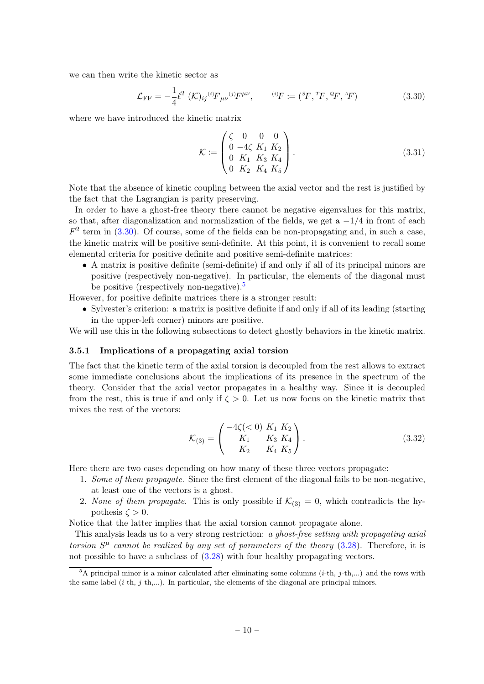we can then write the kinetic sector as

<span id="page-10-1"></span>
$$
\mathcal{L}_{\rm FF} = -\frac{1}{4} \ell^2 \left( \mathcal{K} \right)_{ij} {}^{(i)}F_{\mu\nu} {}^{(j)}F^{\mu\nu}, \qquad {}^{(i)}F := ({}^S F, {}^T F, {}^Q F, {}^A F) \tag{3.30}
$$

where we have introduced the kinetic matrix

$$
\mathcal{K} := \begin{pmatrix} \zeta & 0 & 0 & 0 \\ 0 & -4\zeta & K_1 & K_2 \\ 0 & K_1 & K_3 & K_4 \\ 0 & K_2 & K_4 & K_5 \end{pmatrix} .
$$
 (3.31)

Note that the absence of kinetic coupling between the axial vector and the rest is justified by the fact that the Lagrangian is parity preserving.

In order to have a ghost-free theory there cannot be negative eigenvalues for this matrix, so that, after diagonalization and normalization of the fields, we get a  $-1/4$  in front of each  $F<sup>2</sup>$  term in [\(3.30\)](#page-10-1). Of course, some of the fields can be non-propagating and, in such a case, the kinetic matrix will be positive semi-definite. At this point, it is convenient to recall some elemental criteria for positive definite and positive semi-definite matrices:

• A matrix is positive definite (semi-definite) if and only if all of its principal minors are positive (respectively non-negative). In particular, the elements of the diagonal must be positive (respectively non-negative).<sup>[5](#page-10-2)</sup>

However, for positive definite matrices there is a stronger result:

• Sylvester's criterion: a matrix is positive definite if and only if all of its leading (starting in the upper-left corner) minors are positive.

We will use this in the following subsections to detect ghostly behaviors in the kinetic matrix.

#### <span id="page-10-0"></span>3.5.1 Implications of a propagating axial torsion

The fact that the kinetic term of the axial torsion is decoupled from the rest allows to extract some immediate conclusions about the implications of its presence in the spectrum of the theory. Consider that the axial vector propagates in a healthy way. Since it is decoupled from the rest, this is true if and only if  $\zeta > 0$ . Let us now focus on the kinetic matrix that mixes the rest of the vectors:

$$
\mathcal{K}_{(3)} = \begin{pmatrix} -4\zeta < 0 & K_1 & K_2 \\ K_1 & K_3 & K_4 \\ K_2 & K_4 & K_5 \end{pmatrix} . \tag{3.32}
$$

Here there are two cases depending on how many of these three vectors propagate:

- 1. Some of them propagate. Since the first element of the diagonal fails to be non-negative, at least one of the vectors is a ghost.
- 2. None of them propagate. This is only possible if  $\mathcal{K}_{(3)} = 0$ , which contradicts the hypothesis  $\zeta > 0$ .

Notice that the latter implies that the axial torsion cannot propagate alone.

This analysis leads us to a very strong restriction: a ghost-free setting with propagating axial torsion  $S^{\mu}$  cannot be realized by any set of parameters of the theory [\(3.28\)](#page-9-1). Therefore, it is not possible to have a subclass of [\(3.28\)](#page-9-1) with four healthy propagating vectors.

<span id="page-10-2"></span> $5A$  principal minor is a minor calculated after eliminating some columns  $(i-th, j-th,...)$  and the rows with the same label  $(i-th, j-th,...)$ . In particular, the elements of the diagonal are principal minors.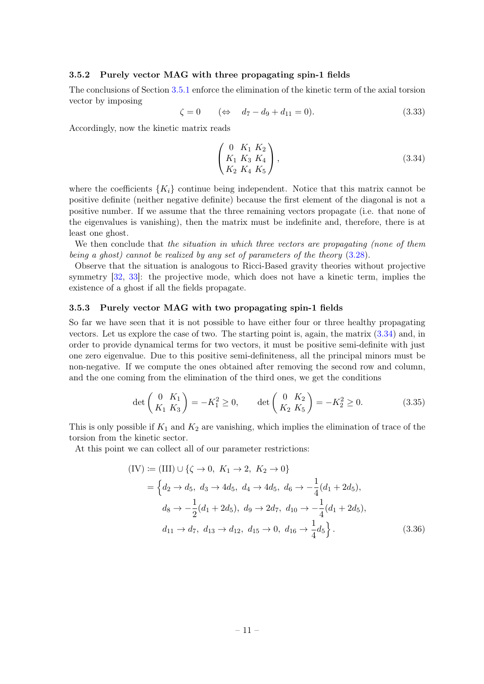#### <span id="page-11-0"></span>3.5.2 Purely vector MAG with three propagating spin-1 fields

The conclusions of Section [3.5.1](#page-10-0) enforce the elimination of the kinetic term of the axial torsion vector by imposing

$$
\zeta = 0 \qquad (\Leftrightarrow \quad d_7 - d_9 + d_{11} = 0). \tag{3.33}
$$

Accordingly, now the kinetic matrix reads

<span id="page-11-2"></span>
$$
\begin{pmatrix}\n0 & K_1 & K_2 \\
K_1 & K_3 & K_4 \\
K_2 & K_4 & K_5\n\end{pmatrix},
$$
\n(3.34)

where the coefficients  ${K_i}$  continue being independent. Notice that this matrix cannot be positive definite (neither negative definite) because the first element of the diagonal is not a positive number. If we assume that the three remaining vectors propagate (i.e. that none of the eigenvalues is vanishing), then the matrix must be indefinite and, therefore, there is at least one ghost.

We then conclude that the situation in which three vectors are propagating (none of them being a ghost) cannot be realized by any set of parameters of the theory [\(3.28\)](#page-9-1).

Observe that the situation is analogous to Ricci-Based gravity theories without projective symmetry [\[32,](#page-20-9) [33\]](#page-20-10): the projective mode, which does not have a kinetic term, implies the existence of a ghost if all the fields propagate.

## <span id="page-11-1"></span>3.5.3 Purely vector MAG with two propagating spin-1 fields

So far we have seen that it is not possible to have either four or three healthy propagating vectors. Let us explore the case of two. The starting point is, again, the matrix [\(3.34\)](#page-11-2) and, in order to provide dynamical terms for two vectors, it must be positive semi-definite with just one zero eigenvalue. Due to this positive semi-definiteness, all the principal minors must be non-negative. If we compute the ones obtained after removing the second row and column, and the one coming from the elimination of the third ones, we get the conditions

$$
\det\begin{pmatrix} 0 & K_1 \\ K_1 & K_3 \end{pmatrix} = -K_1^2 \ge 0, \qquad \det\begin{pmatrix} 0 & K_2 \\ K_2 & K_5 \end{pmatrix} = -K_2^2 \ge 0.
$$
 (3.35)

This is only possible if  $K_1$  and  $K_2$  are vanishing, which implies the elimination of trace of the torsion from the kinetic sector.

At this point we can collect all of our parameter restrictions:

<span id="page-11-3"></span>
$$
(IV) := (III) \cup \{ \zeta \to 0, K_1 \to 2, K_2 \to 0 \}
$$
  
=  $\{ d_2 \to d_5, d_3 \to 4d_5, d_4 \to 4d_5, d_6 \to -\frac{1}{4} (d_1 + 2d_5),$   

$$
d_8 \to -\frac{1}{2} (d_1 + 2d_5), d_9 \to 2d_7, d_{10} \to -\frac{1}{4} (d_1 + 2d_5),
$$
  

$$
d_{11} \to d_7, d_{13} \to d_{12}, d_{15} \to 0, d_{16} \to \frac{1}{4} d_5 \}.
$$
 (3.36)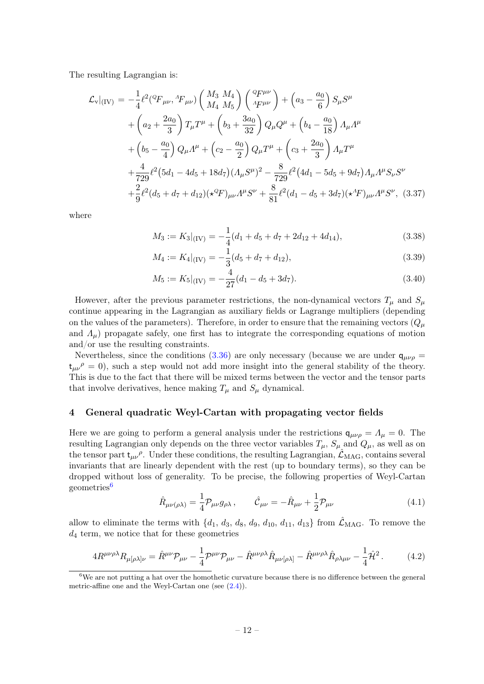The resulting Lagrangian is:

$$
\mathcal{L}_{\mathbf{v}}|_{(\mathrm{IV})} = -\frac{1}{4} \ell^2 ({}^Q F_{\mu\nu}, {}^A F_{\mu\nu}) \left( \frac{M_3}{M_4} \frac{M_4}{M_5} \right) \left( \frac{{}^Q F^{\mu\nu}}{{}^A F^{\mu\nu}} \right) + \left( a_3 - \frac{a_0}{6} \right) S_\mu S^\mu
$$
  
+  $\left( a_2 + \frac{2a_0}{3} \right) T_\mu T^\mu + \left( b_3 + \frac{3a_0}{32} \right) Q_\mu Q^\mu + \left( b_4 - \frac{a_0}{18} \right) A_\mu A^\mu$   
+  $\left( b_5 - \frac{a_0}{4} \right) Q_\mu A^\mu + \left( c_2 - \frac{a_0}{2} \right) Q_\mu T^\mu + \left( c_3 + \frac{2a_0}{3} \right) A_\mu T^\mu$   
+  $\frac{4}{729} \ell^2 (5d_1 - 4d_5 + 18d_7) (A_\mu S^\mu)^2 - \frac{8}{729} \ell^2 (4d_1 - 5d_5 + 9d_7) A_\mu A^\mu S_\nu S^\nu$   
+  $\frac{2}{9} \ell^2 (d_5 + d_7 + d_{12}) (\star^Q F)_{\mu\nu} A^\mu S^\nu + \frac{8}{81} \ell^2 (d_1 - d_5 + 3d_7) (\star^A F)_{\mu\nu} A^\mu S^\nu, (3.37)$ 

where

$$
M_3 := K_3|_{(IV)} = -\frac{1}{4}(d_1 + d_5 + d_7 + 2d_{12} + 4d_{14}),
$$
\n(3.38)

$$
M_4 := K_4|_{(IV)} = -\frac{1}{3}(d_5 + d_7 + d_{12}),\tag{3.39}
$$

$$
M_5 := K_5|_{(IV)} = -\frac{4}{27}(d_1 - d_5 + 3d_7). \tag{3.40}
$$

However, after the previous parameter restrictions, the non-dynamical vectors  $T_{\mu}$  and  $S_{\mu}$ continue appearing in the Lagrangian as auxiliary fields or Lagrange multipliers (depending on the values of the parameters). Therefore, in order to ensure that the remaining vectors  $(Q_\mu)$ and  $\Lambda_{\mu}$ ) propagate safely, one first has to integrate the corresponding equations of motion and/or use the resulting constraints.

Nevertheless, since the conditions [\(3.36\)](#page-11-3) are only necessary (because we are under  $q_{\mu\nu\rho}$  =  $t_{\mu\nu}$ <sup> $\rho$ </sup> = 0), such a step would not add more insight into the general stability of the theory. This is due to the fact that there will be mixed terms between the vector and the tensor parts that involve derivatives, hence making  $T_{\mu}$  and  $S_{\mu}$  dynamical.

## <span id="page-12-0"></span>4 General quadratic Weyl-Cartan with propagating vector fields

Here we are going to perform a general analysis under the restrictions  $q_{\mu\nu\rho} = \Lambda_{\mu} = 0$ . The resulting Lagrangian only depends on the three vector variables  $T_{\mu}$ ,  $S_{\mu}$  and  $Q_{\mu}$ , as well as on the tensor part  $t_{\mu\nu}$ <sup> $\rho$ </sup>. Under these conditions, the resulting Lagrangian,  $\hat{\mathcal{L}}_{\text{MAG}}$ , contains several invariants that are linearly dependent with the rest (up to boundary terms), so they can be dropped without loss of generality. To be precise, the following properties of Weyl-Cartan geometries<sup>[6](#page-12-1)</sup>

$$
\hat{R}_{\mu\nu(\rho\lambda)} = \frac{1}{4} \mathcal{P}_{\mu\nu} g_{\rho\lambda} , \qquad \hat{\mathcal{C}}_{\mu\nu} = -\hat{R}_{\mu\nu} + \frac{1}{2} \mathcal{P}_{\mu\nu} \tag{4.1}
$$

allow to eliminate the terms with  $\{d_1, d_3, d_8, d_9, d_{10}, d_{11}, d_{13}\}$  from  $\mathcal{\hat{L}}_{\text{MAG}}$ . To remove the  $d_4$  term, we notice that for these geometries

$$
4R^{\mu\nu\rho\lambda}R_{\mu[\rho\lambda]\nu} = \hat{R}^{\mu\nu}\mathcal{P}_{\mu\nu} - \frac{1}{4}\mathcal{P}^{\mu\nu}\mathcal{P}_{\mu\nu} - \hat{R}^{\mu\nu\rho\lambda}\hat{R}_{\mu\nu[\rho\lambda]} - \hat{R}^{\mu\nu\rho\lambda}\hat{R}_{\rho\lambda\mu\nu} - \frac{1}{4}\hat{\mathcal{H}}^2. \tag{4.2}
$$

<span id="page-12-1"></span><sup>6</sup>We are not putting a hat over the homothetic curvature because there is no difference between the general metric-affine one and the Weyl-Cartan one (see [\(2.4\)](#page-3-6)).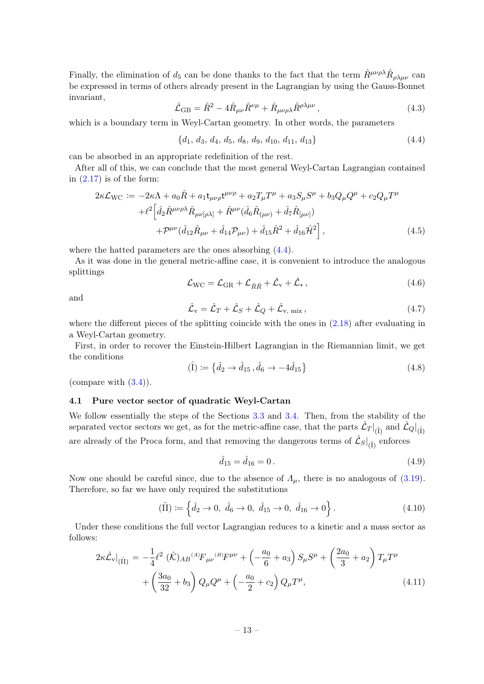Finally, the elimination of  $d_5$  can be done thanks to the fact that the term  $\hat{R}^{\mu\nu\rho\lambda}\hat{R}_{\rho\lambda\mu\nu}$  can be expressed in terms of others already present in the Lagrangian by using the Gauss-Bonnet invariant,

$$
\hat{\mathcal{L}}_{GB} = \hat{R}^2 - 4\hat{R}_{\mu\nu}\hat{R}^{\nu\mu} + \hat{R}_{\mu\nu\rho\lambda}\hat{R}^{\rho\lambda\mu\nu},\tag{4.3}
$$

which is a boundary term in Weyl-Cartan geometry. In other words, the parameters

<span id="page-13-1"></span>
$$
\{d_1, d_3, d_4, d_5, d_8, d_9, d_{10}, d_{11}, d_{13}\}\tag{4.4}
$$

can be absorbed in an appropriate redefinition of the rest.

After all of this, we can conclude that the most general Weyl-Cartan Lagrangian contained in  $(2.17)$  is of the form:

<span id="page-13-2"></span>
$$
2\kappa \mathcal{L}_{\text{WC}} := -2\kappa \Lambda + a_0 \hat{R} + a_1 t_{\mu\nu\rho} t^{\mu\nu\rho} + a_2 T_{\mu} T^{\mu} + a_3 S_{\mu} S^{\mu} + b_3 Q_{\mu} Q^{\mu} + c_2 Q_{\mu} T^{\mu} + \ell^2 \left[ \hat{d}_2 \hat{R}^{\mu\nu\rho\lambda} \hat{R}_{\mu\nu[\rho\lambda]} + \hat{R}^{\mu\nu} (\hat{d}_6 \hat{R}_{(\mu\nu)} + \hat{d}_7 \hat{R}_{[\mu\nu]}) + \mathcal{P}^{\mu\nu} (\hat{d}_{12} \hat{R}_{\mu\nu} + \hat{d}_{14} \mathcal{P}_{\mu\nu}) + \hat{d}_{15} \hat{R}^2 + \hat{d}_{16} \hat{\mathcal{H}}^2 \right],
$$
(4.5)

where the hatted parameters are the ones absorbing [\(4.4\)](#page-13-1).

As it was done in the general metric-affine case, it is convenient to introduce the analogous splittings

$$
\mathcal{L}_{\rm WC} = \mathcal{L}_{\rm GR} + \mathcal{L}_{\mathring{R}\mathring{R}} + \hat{\mathcal{L}}_{\rm v} + \hat{\mathcal{L}}_{\ast} \,, \tag{4.6}
$$

and

$$
\hat{\mathcal{L}}_{\rm v} = \hat{\mathcal{L}}_T + \hat{\mathcal{L}}_S + \hat{\mathcal{L}}_Q + \hat{\mathcal{L}}_{\rm v, mix},\tag{4.7}
$$

where the different pieces of the splitting coincide with the ones in  $(2.18)$  after evaluating in a Weyl-Cartan geometry.

First, in order to recover the Einstein-Hilbert Lagrangian in the Riemannian limit, we get the conditions

<span id="page-13-3"></span>
$$
(\hat{I}) \coloneqq \{ \hat{d}_2 \to \hat{d}_{15}, \hat{d}_6 \to -4\hat{d}_{15} \} \tag{4.8}
$$

(compare with  $(3.4)$ ).

#### <span id="page-13-0"></span>4.1 Pure vector sector of quadratic Weyl-Cartan

We follow essentially the steps of the Sections [3.3](#page-7-0) and [3.4.](#page-8-0) Then, from the stability of the separated vector sectors we get, as for the metric-affine case, that the parts  $\hat{\mathcal{L}}_T|_{(\hat{I})}$  and  $\hat{\mathcal{L}}_Q|_{(\hat{I})}$ are already of the Proca form, and that removing the dangerous terms of  $\hat{\mathcal{L}}_S|_{(\hat{I})}$  enforces

$$
\hat{d}_{15} = \hat{d}_{16} = 0. \tag{4.9}
$$

Now one should be careful since, due to the absence of  $\Lambda_{\mu}$ , there is no analogous of [\(3.19\)](#page-8-2). Therefore, so far we have only required the substitutions

$$
(\hat{\Pi}) \coloneqq \left\{ \hat{d}_2 \to 0, \ \hat{d}_6 \to 0, \ \hat{d}_{15} \to 0, \ \hat{d}_{16} \to 0 \right\}. \tag{4.10}
$$

Under these conditions the full vector Lagrangian reduces to a kinetic and a mass sector as follows:

$$
2\kappa \hat{\mathcal{L}}_{\mathbf{v}}|_{(\hat{\Pi})} = -\frac{1}{4}\ell^2 (\hat{\mathcal{K}})_{AB} {}^{(A)}F_{\mu\nu} {}^{(B)}F^{\mu\nu} + \left(-\frac{a_0}{6} + a_3\right) S_{\mu} S^{\mu} + \left(\frac{2a_0}{3} + a_2\right) T_{\mu} T^{\mu} + \left(\frac{3a_0}{32} + b_3\right) Q_{\mu} Q^{\mu} + \left(-\frac{a_0}{2} + c_2\right) Q_{\mu} T^{\mu}, \tag{4.11}
$$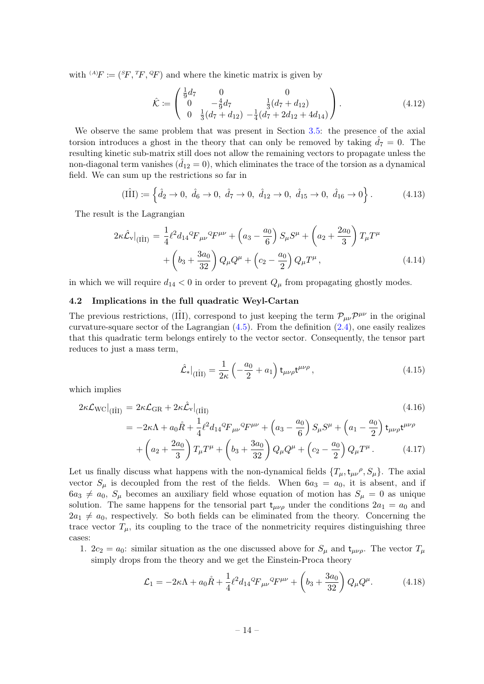with  ${}^{(A)}F := ({}^{S}F, {}^{T}F, {}^{Q}F)$  and where the kinetic matrix is given by

$$
\hat{\mathcal{K}} := \begin{pmatrix} \frac{1}{9}d_7 & 0 & 0\\ 0 & -\frac{4}{9}d_7 & \frac{1}{3}(d_7 + d_{12})\\ 0 & \frac{1}{3}(d_7 + d_{12}) & -\frac{1}{4}(d_7 + 2d_{12} + 4d_{14}) \end{pmatrix}.
$$
\n(4.12)

We observe the same problem that was present in Section [3.5:](#page-9-0) the presence of the axial torsion introduces a ghost in the theory that can only be removed by taking  $\hat{d}_7 = 0$ . The resulting kinetic sub-matrix still does not allow the remaining vectors to propagate unless the non-diagonal term vanishes  $(d_{12} = 0)$ , which eliminates the trace of the torsion as a dynamical field. We can sum up the restrictions so far in

$$
(\hat{\text{III}}) := \left\{ \hat{d}_2 \to 0, \ \hat{d}_6 \to 0, \ \hat{d}_7 \to 0, \ \hat{d}_{12} \to 0, \ \hat{d}_{15} \to 0, \ \hat{d}_{16} \to 0 \right\}. \tag{4.13}
$$

The result is the Lagrangian

$$
2\kappa \hat{\mathcal{L}}_{\mathbf{v}}|_{\left(\hat{\Pi}\right)} = \frac{1}{4}\ell^2 d_{14}{}^Q F_{\mu\nu}{}^Q F^{\mu\nu} + \left(a_3 - \frac{a_0}{6}\right) S_{\mu} S^{\mu} + \left(a_2 + \frac{2a_0}{3}\right) T_{\mu} T^{\mu} + \left(b_3 + \frac{3a_0}{32}\right) Q_{\mu} Q^{\mu} + \left(c_2 - \frac{a_0}{2}\right) Q_{\mu} T^{\mu},
$$
\n(4.14)

in which we will require  $d_{14} < 0$  in order to prevent  $Q_{\mu}$  from propagating ghostly modes.

#### <span id="page-14-0"></span>4.2 Implications in the full quadratic Weyl-Cartan

The previous restrictions, (III), correspond to just keeping the term  $\mathcal{P}_{\mu\nu}\mathcal{P}^{\mu\nu}$  in the original curvature-square sector of the Lagrangian  $(4.5)$ . From the definition  $(2.4)$ , one easily realizes that this quadratic term belongs entirely to the vector sector. Consequently, the tensor part reduces to just a mass term,

$$
\hat{\mathcal{L}}_*|_{(\hat{\Pi})} = \frac{1}{2\kappa} \left( -\frac{a_0}{2} + a_1 \right) \mathfrak{t}_{\mu\nu\rho} \mathfrak{t}^{\mu\nu\rho} ,\qquad(4.15)
$$

which implies

<span id="page-14-1"></span>
$$
2\kappa \mathcal{L}_{\text{WC}}|_{\text{(III)}} = 2\kappa \mathcal{L}_{\text{GR}} + 2\kappa \hat{\mathcal{L}}_{\text{v}}|_{\text{(III)}}
$$
\n
$$
= -2\kappa \Lambda + a_0 \mathring{R} + \frac{1}{4} \ell^2 d_{14}{}^Q F_{\mu\nu}{}^Q F^{\mu\nu} + \left(a_3 - \frac{a_0}{6}\right) S_{\mu} S^{\mu} + \left(a_1 - \frac{a_0}{2}\right) t_{\mu\nu\rho} t^{\mu\nu\rho}
$$
\n
$$
+ \left(a_2 + \frac{2a_0}{3}\right) T_{\mu} T^{\mu} + \left(b_3 + \frac{3a_0}{32}\right) Q_{\mu} Q^{\mu} + \left(c_2 - \frac{a_0}{2}\right) Q_{\mu} T^{\mu}. \tag{4.17}
$$

Let us finally discuss what happens with the non-dynamical fields  $\{T_{\mu}, t_{\mu\nu}, \rho, S_{\mu}\}\$ . The axial vector  $S_{\mu}$  is decoupled from the rest of the fields. When  $6a_3 = a_0$ , it is absent, and if  $6a_3 \neq a_0$ ,  $S_\mu$  becomes an auxiliary field whose equation of motion has  $S_\mu = 0$  as unique solution. The same happens for the tensorial part  $t_{\mu\nu\rho}$  under the conditions  $2a_1 = a_0$  and  $2a_1 \neq a_0$ , respectively. So both fields can be eliminated from the theory. Concerning the trace vector  $T_{\mu}$ , its coupling to the trace of the nonmetricity requires distinguishing three cases:

1.  $2c_2 = a_0$ : similar situation as the one discussed above for  $S_\mu$  and  $t_{\mu\nu\rho}$ . The vector  $T_\mu$ simply drops from the theory and we get the Einstein-Proca theory

<span id="page-14-2"></span>
$$
\mathcal{L}_1 = -2\kappa \Lambda + a_0 \mathring{R} + \frac{1}{4} \ell^2 d_{14}{}^Q F_{\mu\nu}{}^Q F^{\mu\nu} + \left( b_3 + \frac{3a_0}{32} \right) Q_\mu Q^\mu. \tag{4.18}
$$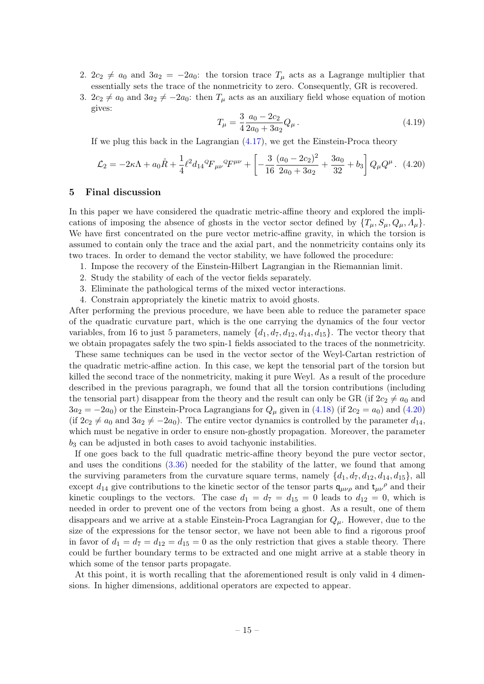- 2.  $2c_2 \neq a_0$  and  $3a_2 = -2a_0$ : the torsion trace  $T_\mu$  acts as a Lagrange multiplier that essentially sets the trace of the nonmetricity to zero. Consequently, GR is recovered.
- 3.  $2c_2 \neq a_0$  and  $3a_2 \neq -2a_0$ : then  $T_\mu$  acts as an auxiliary field whose equation of motion gives:

$$
T_{\mu} = \frac{3}{4} \frac{a_0 - 2c_2}{2a_0 + 3a_2} Q_{\mu}.
$$
\n(4.19)

If we plug this back in the Lagrangian [\(4.17\)](#page-14-1), we get the Einstein-Proca theory

<span id="page-15-1"></span>
$$
\mathcal{L}_2 = -2\kappa \Lambda + a_0 \mathring{R} + \frac{1}{4} \ell^2 d_{14}{}^Q F_{\mu\nu}{}^Q F^{\mu\nu} + \left[ -\frac{3}{16} \frac{(a_0 - 2c_2)^2}{2a_0 + 3a_2} + \frac{3a_0}{32} + b_3 \right] Q_\mu Q^\mu. \tag{4.20}
$$

## <span id="page-15-0"></span>5 Final discussion

In this paper we have considered the quadratic metric-affine theory and explored the implications of imposing the absence of ghosts in the vector sector defined by  $\{T_{\mu}, S_{\mu}, Q_{\mu}, A_{\mu}\}.$ We have first concentrated on the pure vector metric-affine gravity, in which the torsion is assumed to contain only the trace and the axial part, and the nonmetricity contains only its two traces. In order to demand the vector stability, we have followed the procedure:

- 1. Impose the recovery of the Einstein-Hilbert Lagrangian in the Riemannian limit.
- 2. Study the stability of each of the vector fields separately.
- 3. Eliminate the pathological terms of the mixed vector interactions.
- 4. Constrain appropriately the kinetic matrix to avoid ghosts.

After performing the previous procedure, we have been able to reduce the parameter space of the quadratic curvature part, which is the one carrying the dynamics of the four vector variables, from 16 to just 5 parameters, namely  $\{d_1, d_7, d_{12}, d_{14}, d_{15}\}$ . The vector theory that we obtain propagates safely the two spin-1 fields associated to the traces of the nonmetricity.

These same techniques can be used in the vector sector of the Weyl-Cartan restriction of the quadratic metric-affine action. In this case, we kept the tensorial part of the torsion but killed the second trace of the nonmetricity, making it pure Weyl. As a result of the procedure described in the previous paragraph, we found that all the torsion contributions (including the tensorial part) disappear from the theory and the result can only be GR (if  $2c_2 \neq a_0$  and  $3a_2 = -2a_0$  or the Einstein-Proca Lagrangians for  $Q_\mu$  given in [\(4.18\)](#page-14-2) (if  $2c_2 = a_0$ ) and [\(4.20\)](#page-15-1) (if  $2c_2 \neq a_0$  and  $3a_2 \neq -2a_0$ ). The entire vector dynamics is controlled by the parameter  $d_{14}$ , which must be negative in order to ensure non-ghostly propagation. Moreover, the parameter  $b_3$  can be adjusted in both cases to avoid tachyonic instabilities.

If one goes back to the full quadratic metric-affine theory beyond the pure vector sector, and uses the conditions [\(3.36\)](#page-11-3) needed for the stability of the latter, we found that among the surviving parameters from the curvature square terms, namely  $\{d_1, d_7, d_{12}, d_{14}, d_{15}\}$ , all except  $d_{14}$  give contributions to the kinetic sector of the tensor parts  $q_{\mu\nu\rho}$  and  $t_{\mu\nu}{}^{\rho}$  and their kinetic couplings to the vectors. The case  $d_1 = d_7 = d_{15} = 0$  leads to  $d_{12} = 0$ , which is needed in order to prevent one of the vectors from being a ghost. As a result, one of them disappears and we arrive at a stable Einstein-Proca Lagrangian for  $Q_{\mu}$ . However, due to the size of the expressions for the tensor sector, we have not been able to find a rigorous proof in favor of  $d_1 = d_7 = d_{12} = d_{15} = 0$  as the only restriction that gives a stable theory. There could be further boundary terms to be extracted and one might arrive at a stable theory in which some of the tensor parts propagate.

At this point, it is worth recalling that the aforementioned result is only valid in 4 dimensions. In higher dimensions, additional operators are expected to appear.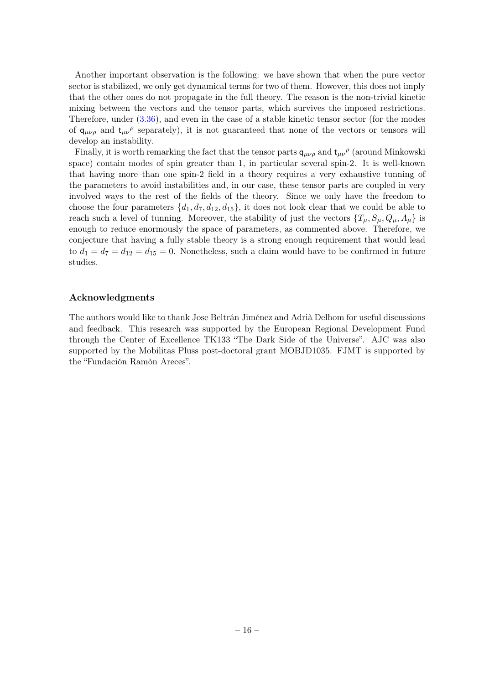Another important observation is the following: we have shown that when the pure vector sector is stabilized, we only get dynamical terms for two of them. However, this does not imply that the other ones do not propagate in the full theory. The reason is the non-trivial kinetic mixing between the vectors and the tensor parts, which survives the imposed restrictions. Therefore, under [\(3.36\)](#page-11-3), and even in the case of a stable kinetic tensor sector (for the modes of  $q_{\mu\nu\rho}$  and  $t_{\mu\nu}$ <sup> $\rho$ </sup> separately), it is not guaranteed that none of the vectors or tensors will develop an instability.

Finally, it is worth remarking the fact that the tensor parts  $q_{\mu\nu\rho}$  and  $t_{\mu\nu}$ <sup> $\rho$ </sup> (around Minkowski space) contain modes of spin greater than 1, in particular several spin-2. It is well-known that having more than one spin-2 field in a theory requires a very exhaustive tunning of the parameters to avoid instabilities and, in our case, these tensor parts are coupled in very involved ways to the rest of the fields of the theory. Since we only have the freedom to choose the four parameters  $\{d_1, d_7, d_{12}, d_{15}\}$ , it does not look clear that we could be able to reach such a level of tunning. Moreover, the stability of just the vectors  $\{T_{\mu}, S_{\mu}, Q_{\mu}, \Lambda_{\mu}\}\$ is enough to reduce enormously the space of parameters, as commented above. Therefore, we conjecture that having a fully stable theory is a strong enough requirement that would lead to  $d_1 = d_7 = d_{12} = d_{15} = 0$ . Nonetheless, such a claim would have to be confirmed in future studies.

## Acknowledgments

The authors would like to thank Jose Beltrán Jiménez and Adrià Delhom for useful discussions and feedback. This research was supported by the European Regional Development Fund through the Center of Excellence TK133 "The Dark Side of the Universe". AJC was also supported by the Mobilitas Pluss post-doctoral grant MOBJD1035. FJMT is supported by the "Fundación Ramón Areces".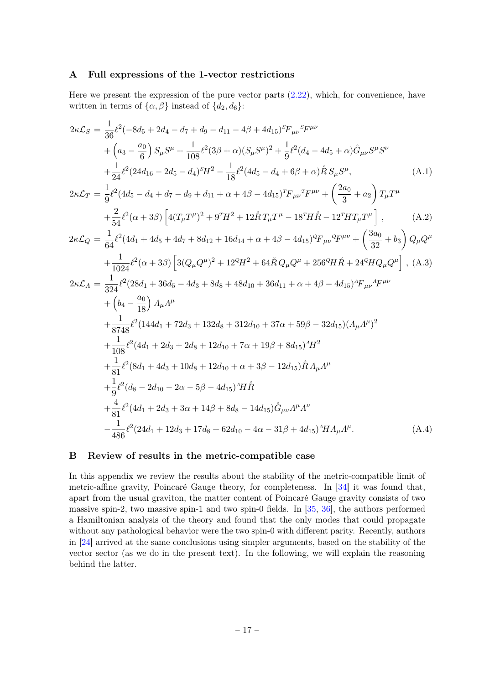## <span id="page-17-0"></span>A Full expressions of the 1-vector restrictions

Here we present the expression of the pure vector parts  $(2.22)$ , which, for convenience, have written in terms of  $\{\alpha, \beta\}$  instead of  $\{d_2, d_6\}$ :

$$
2\kappa\mathcal{L}_{S} = \frac{1}{36}\ell^{2}(-8d_{5} + 2d_{4} - d_{7} + d_{9} - d_{11} - 4\beta + 4d_{15})^{s}\mathcal{F}_{\mu\nu}{}^{s}\mathcal{F}^{\mu\nu}
$$
  
+  $(a_{3} - \frac{a_{0}}{6}) S_{\mu}S^{\mu} + \frac{1}{108}\ell^{2}(3\beta + \alpha)(S_{\mu}S^{\mu})^{2} + \frac{1}{9}\ell^{2}(d_{4} - 4d_{5} + \alpha)\mathring{G}_{\mu\nu}S^{\mu}S^{\nu}$   
+  $\frac{1}{24}\ell^{2}(24d_{16} - 2d_{5} - d_{4})^{s}H^{2} - \frac{1}{18}\ell^{2}(4d_{5} - d_{4} + 6\beta + \alpha)\mathring{R}S_{\mu}S^{\mu},$  (A.1)  
 $2\kappa\mathcal{L}_{T} = \frac{1}{9}\ell^{2}(4d_{5} - d_{4} + d_{7} - d_{9} + d_{11} + \alpha + 4\beta - 4d_{15})^{T}\mathcal{F}_{\mu\nu}{}^{T}\mathcal{F}^{\mu\nu} + \left(\frac{2a_{0}}{3} + a_{2}\right)T_{\mu}T^{\mu}$   
+  $\frac{2}{54}\ell^{2}(\alpha + 3\beta)\left[4(T_{\mu}T^{\mu})^{2} + 9^{T}H^{2} + 12\mathring{R}T_{\mu}T^{\mu} - 18^{T}H\mathring{R} - 12^{T}HT_{\mu}T^{\mu}\right],$  (A.2)  
 $2\kappa\mathcal{L}_{Q} = \frac{1}{64}\ell^{2}(4d_{1} + 4d_{5} + 4d_{7} + 8d_{12} + 16d_{14} + \alpha + 4\beta - 4d_{15})^{o}\mathcal{F}_{\mu\nu}{}^{o}\mathcal{F}^{\mu\nu} + \left(\frac{3a_{0}}{32} + b_{3}\right)Q_{\mu}Q^{\mu}$   
+  $\frac{1}{1024}\ell^{2}(\alpha + 3\beta)\left[3(Q_{\mu}Q^{\mu})^{2} + 12^{o}H^{2} + 64\mathring{R}Q_{\$ 

## <span id="page-17-1"></span>B Review of results in the metric-compatible case

In this appendix we review the results about the stability of the metric-compatible limit of metric-affine gravity, Poincaré Gauge theory, for completeness. In [\[34\]](#page-20-11) it was found that, apart from the usual graviton, the matter content of Poincaré Gauge gravity consists of two massive spin-2, two massive spin-1 and two spin-0 fields. In [\[35,](#page-20-12) [36\]](#page-20-13), the authors performed a Hamiltonian analysis of the theory and found that the only modes that could propagate without any pathological behavior were the two spin-0 with different parity. Recently, authors in [\[24\]](#page-20-4) arrived at the same conclusions using simpler arguments, based on the stability of the vector sector (as we do in the present text). In the following, we will explain the reasoning behind the latter.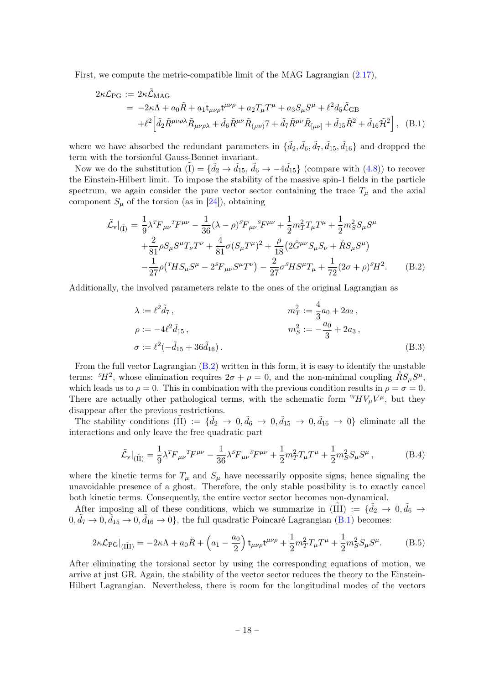First, we compute the metric-compatible limit of the MAG Lagrangian [\(2.17\)](#page-4-3),

<span id="page-18-1"></span>
$$
2\kappa \mathcal{L}_{PG} := 2\kappa \tilde{\mathcal{L}}_{MAG}
$$
  
=  $-2\kappa \Lambda + a_0 \tilde{R} + a_1 t_{\mu\nu\rho} t^{\mu\nu\rho} + a_2 T_{\mu} T^{\mu} + a_3 S_{\mu} S^{\mu} + \ell^2 d_5 \tilde{\mathcal{L}}_{GB}$   
+ $\ell^2 \left[ \tilde{d}_2 \tilde{R}^{\mu\nu\rho\lambda} \tilde{R}_{\mu\nu\rho\lambda} + \tilde{d}_6 \tilde{R}^{\mu\nu} \tilde{R}_{(\mu\nu)} T + \tilde{d}_7 \tilde{R}^{\mu\nu} \tilde{R}_{[\mu\nu]} + \tilde{d}_1 5 \tilde{R}^2 + \tilde{d}_1 6 \tilde{\mathcal{H}}^2 \right],$  (B.1)

where we have absorbed the redundant parameters in  $\{\tilde{d}_2, \tilde{d}_6, \tilde{d}_7, \tilde{d}_{15}, \tilde{d}_{16}\}$  and dropped the term with the torsionful Gauss-Bonnet invariant.

Now we do the substitution  $(I) = \{ \tilde{d}_2 \to \tilde{d}_{15}, \tilde{d}_6 \to -4\tilde{d}_{15} \}$  (compare with  $(4.8)$ ) to recover the Einstein-Hilbert limit. To impose the stability of the massive spin-1 fields in the particle spectrum, we again consider the pure vector sector containing the trace  $T_{\mu}$  and the axial component  $S_{\mu}$  of the torsion (as in [\[24\]](#page-20-4)), obtaining

<span id="page-18-0"></span>
$$
\tilde{\mathcal{L}}_{\mathbf{v}}|_{(\tilde{\mathbf{I}})} = \frac{1}{9} \lambda^T F_{\mu\nu}^T F^{\mu\nu} - \frac{1}{36} (\lambda - \rho)^S F_{\mu\nu}^S F^{\mu\nu} + \frac{1}{2} m_T^2 T_{\mu} T^{\mu} + \frac{1}{2} m_S^2 S_{\mu} S^{\mu} \n+ \frac{2}{81} \rho S_{\mu} S^{\mu} T_{\nu} T^{\nu} + \frac{4}{81} \sigma (S_{\mu} T^{\mu})^2 + \frac{\rho}{18} (2 \mathring{G}^{\mu\nu} S_{\mu} S_{\nu} + \mathring{R} S_{\mu} S^{\mu}) \n- \frac{1}{27} \rho (^T H S_{\mu} S^{\mu} - 2^S F_{\mu\nu} S^{\mu} T^{\nu}) - \frac{2}{27} \sigma^S H S^{\mu} T_{\mu} + \frac{1}{72} (2 \sigma + \rho)^S H^2. \tag{B.2}
$$

Additionally, the involved parameters relate to the ones of the original Lagrangian as

$$
\lambda := \ell^2 \tilde{d}_7, \qquad m_T^2 := \frac{4}{3} a_0 + 2a_2, \n\rho := -4\ell^2 \tilde{d}_{15}, \qquad m_S^2 := -\frac{a_0}{3} + 2a_3, \n\sigma := \ell^2(-\tilde{d}_{15} + 36\tilde{d}_{16}).
$$
\n(B.3)

From the full vector Lagrangian [\(B.2\)](#page-18-0) written in this form, it is easy to identify the unstable terms:  $^{s}H^{2}$ , whose elimination requires  $2\sigma + \rho = 0$ , and the non-minimal coupling  $\mathring{R}S_{\mu}S^{\mu}$ , which leads us to  $\rho = 0$ . This in combination with the previous condition results in  $\rho = \sigma = 0$ . There are actually other pathological terms, with the schematic form  $^{W}_{V}\mu V^{\mu}$ , but they disappear after the previous restrictions.

The stability conditions  $(\tilde{II}) := {\tilde{d}_2 \to 0, \tilde{d}_6 \to 0, \tilde{d}_{15} \to 0, \tilde{d}_{16} \to 0}$  eliminate all the interactions and only leave the free quadratic part

$$
\tilde{\mathcal{L}}_{\mathbf{v}}|_{(\tilde{\Pi})} = \frac{1}{9} \lambda^T F_{\mu\nu}^T F^{\mu\nu} - \frac{1}{36} \lambda^S F_{\mu\nu}^S F^{\mu\nu} + \frac{1}{2} m_T^2 T_{\mu} T^{\mu} + \frac{1}{2} m_S^2 S_{\mu} S^{\mu}, \tag{B.4}
$$

where the kinetic terms for  $T_{\mu}$  and  $S_{\mu}$  have necessarily opposite signs, hence signaling the unavoidable presence of a ghost. Therefore, the only stable possibility is to exactly cancel both kinetic terms. Consequently, the entire vector sector becomes non-dynamical.

After imposing all of these conditions, which we summarize in  $(II\tilde{II}) := {\tilde{d}_2 \to 0, \tilde{d}_6 \to}$  $0, \tilde{d}_7 \to 0, \tilde{d}_{15} \to 0, \tilde{d}_{16} \to 0$ , the full quadratic Poincaré Lagrangian [\(B.1\)](#page-18-1) becomes:

$$
2\kappa \mathcal{L}_{\rm PG}|_{(\tilde{\rm III})} = -2\kappa \Lambda + a_0 \mathring{R} + \left(a_1 - \frac{a_0}{2}\right) t_{\mu\nu\rho} t^{\mu\nu\rho} + \frac{1}{2} m_T^2 T_\mu T^\mu + \frac{1}{2} m_S^2 S_\mu S^\mu. \tag{B.5}
$$

After eliminating the torsional sector by using the corresponding equations of motion, we arrive at just GR. Again, the stability of the vector sector reduces the theory to the Einstein-Hilbert Lagrangian. Nevertheless, there is room for the longitudinal modes of the vectors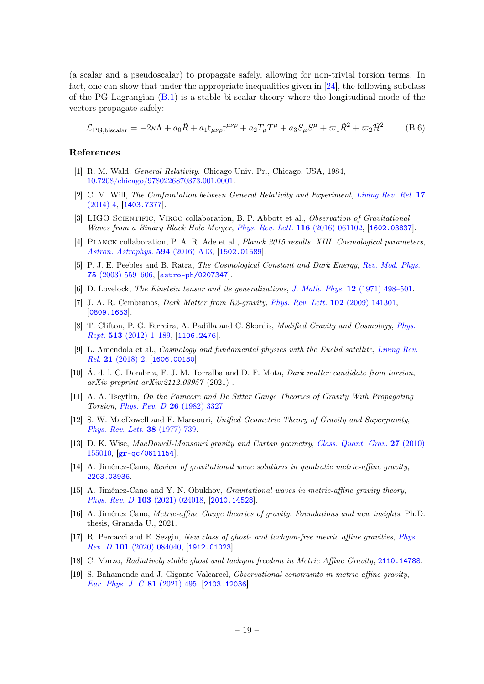(a scalar and a pseudoscalar) to propagate safely, allowing for non-trivial torsion terms. In fact, one can show that under the appropriate inequalities given in [\[24\]](#page-20-4), the following subclass of the PG Lagrangian [\(B.1\)](#page-18-1) is a stable bi-scalar theory where the longitudinal mode of the vectors propagate safely:

$$
\mathcal{L}_{\text{PG,biscalar}} = -2\kappa \Lambda + a_0 \tilde{R} + a_1 \mathbf{t}_{\mu\nu\rho} \mathbf{t}^{\mu\nu\rho} + a_2 T_\mu T^\mu + a_3 S_\mu S^\mu + \varpi_1 \tilde{R}^2 + \varpi_2 \tilde{\mathcal{H}}^2. \tag{B.6}
$$

#### References

- <span id="page-19-0"></span>[1] R. M. Wald, General Relativity. Chicago Univ. Pr., Chicago, USA, 1984, [10.7208/chicago/9780226870373.001.0001.](http://dx.doi.org/10.7208/chicago/9780226870373.001.0001)
- <span id="page-19-1"></span>[2] C. M. Will, The Confrontation between General Relativity and Experiment, [Living Rev. Rel.](http://dx.doi.org/10.12942/lrr-2014-4) 17 [\(2014\) 4,](http://dx.doi.org/10.12942/lrr-2014-4) [[1403.7377](https://arxiv.org/abs/1403.7377)].
- <span id="page-19-2"></span>[3] LIGO SCIENTIFIC, VIRGO collaboration, B. P. Abbott et al., Observation of Gravitational Waves from a Binary Black Hole Merger, [Phys. Rev. Lett.](http://dx.doi.org/10.1103/PhysRevLett.116.061102) 116 (2016) 061102, [[1602.03837](https://arxiv.org/abs/1602.03837)].
- <span id="page-19-3"></span>[4] PLANCK collaboration, P. A. R. Ade et al., *Planck 2015 results. XIII. Cosmological parameters*, [Astron. Astrophys.](http://dx.doi.org/10.1051/0004-6361/201525830) 594 (2016) A13, [[1502.01589](https://arxiv.org/abs/1502.01589)].
- <span id="page-19-4"></span>[5] P. J. E. Peebles and B. Ratra, The Cosmological Constant and Dark Energy, [Rev. Mod. Phys.](http://dx.doi.org/10.1103/RevModPhys.75.559) 75 [\(2003\) 559–606,](http://dx.doi.org/10.1103/RevModPhys.75.559) [[astro-ph/0207347](https://arxiv.org/abs/astro-ph/0207347)].
- <span id="page-19-5"></span>[6] D. Lovelock, The Einstein tensor and its generalizations, J. Math. Phys. 12 [\(1971\) 498–501.](http://dx.doi.org/10.1063/1.1665613)
- <span id="page-19-6"></span>[7] J. A. R. Cembranos, *Dark Matter from R2-gravity*, *[Phys. Rev. Lett.](http://dx.doi.org/10.1103/PhysRevLett.102.141301)* **102** (2009) 141301, [[0809.1653](https://arxiv.org/abs/0809.1653)].
- [8] T. Clifton, P. G. Ferreira, A. Padilla and C. Skordis, *Modified Gravity and Cosmology, [Phys.](http://dx.doi.org/10.1016/j.physrep.2012.01.001)* Rept. 513 [\(2012\) 1–189,](http://dx.doi.org/10.1016/j.physrep.2012.01.001) [[1106.2476](https://arxiv.org/abs/1106.2476)].
- [9] L. Amendola et al., Cosmology and fundamental physics with the Euclid satellite, [Living Rev.](http://dx.doi.org/10.1007/s41114-017-0010-3) Rel. 21 [\(2018\) 2,](http://dx.doi.org/10.1007/s41114-017-0010-3) [[1606.00180](https://arxiv.org/abs/1606.00180)].
- <span id="page-19-7"></span>[10] Á. d. l. C. Dombriz, F. J. M. Torralba and D. F. Mota, Dark matter candidate from torsion, arXiv preprint arXiv:2112.03957 (2021) .
- <span id="page-19-8"></span>[11] A. A. Tseytlin, On the Poincare and De Sitter Gauge Theories of Gravity With Propagating Torsion, [Phys. Rev. D](http://dx.doi.org/10.1103/PhysRevD.26.3327) 26 (1982) 3327.
- <span id="page-19-14"></span>[12] S. W. MacDowell and F. Mansouri, Unified Geometric Theory of Gravity and Supergravity, [Phys. Rev. Lett.](http://dx.doi.org/10.1103/PhysRevLett.38.739) 38 (1977) 739.
- <span id="page-19-15"></span>[13] D. K. Wise, MacDowell-Mansouri gravity and Cartan geometry, [Class. Quant. Grav.](http://dx.doi.org/10.1088/0264-9381/27/15/155010) 27 (2010) [155010,](http://dx.doi.org/10.1088/0264-9381/27/15/155010) [[gr-qc/0611154](https://arxiv.org/abs/gr-qc/0611154)].
- <span id="page-19-9"></span>[14] A. Jiménez-Cano, Review of gravitational wave solutions in quadratic metric-affine gravity, [2203.03936](https://arxiv.org/abs/2203.03936).
- [15] A. Jiménez-Cano and Y. N. Obukhov, *Gravitational waves in metric-affine gravity theory*, Phys. Rev. D 103 [\(2021\) 024018,](http://dx.doi.org/10.1103/PhysRevD.103.024018) [[2010.14528](https://arxiv.org/abs/2010.14528)].
- <span id="page-19-12"></span>[16] A. Jiménez Cano, Metric-affine Gauge theories of gravity. Foundations and new insights, Ph.D. thesis, Granada U., 2021.
- <span id="page-19-13"></span>[17] R. Percacci and E. Sezgin, New class of ghost- and tachyon-free metric affine gravities, [Phys.](http://dx.doi.org/10.1103/PhysRevD.101.084040) Rev. D 101 [\(2020\) 084040,](http://dx.doi.org/10.1103/PhysRevD.101.084040) [[1912.01023](https://arxiv.org/abs/1912.01023)].
- <span id="page-19-10"></span>[18] C. Marzo, Radiatively stable ghost and tachyon freedom in Metric Affine Gravity, [2110.14788](https://arxiv.org/abs/2110.14788).
- <span id="page-19-11"></span>[19] S. Bahamonde and J. Gigante Valcarcel, Observational constraints in metric-affine gravity, [Eur. Phys. J. C](http://dx.doi.org/10.1140/epjc/s10052-021-09275-6) 81 (2021) 495, [[2103.12036](https://arxiv.org/abs/2103.12036)].